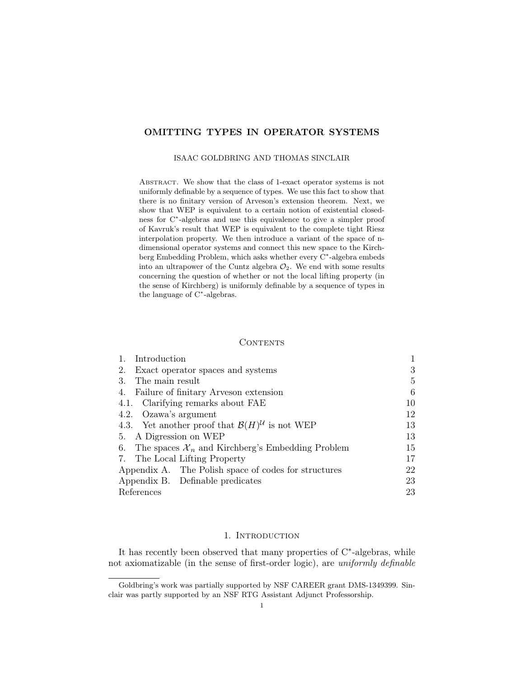# OMITTING TYPES IN OPERATOR SYSTEMS

### ISAAC GOLDBRING AND THOMAS SINCLAIR

ABSTRACT. We show that the class of 1-exact operator systems is not uniformly definable by a sequence of types. We use this fact to show that there is no finitary version of Arveson's extension theorem. Next, we show that WEP is equivalent to a certain notion of existential closedness for C<sup>∗</sup> -algebras and use this equivalence to give a simpler proof of Kavruk's result that WEP is equivalent to the complete tight Riesz interpolation property. We then introduce a variant of the space of ndimensional operator systems and connect this new space to the Kirchberg Embedding Problem, which asks whether every C<sup>∗</sup> -algebra embeds into an ultrapower of the Cuntz algebra  $\mathcal{O}_2$ . We end with some results concerning the question of whether or not the local lifting property (in the sense of Kirchberg) is uniformly definable by a sequence of types in the language of C<sup>∗</sup> -algebras.

## **CONTENTS**

| Introduction                                                          |    |
|-----------------------------------------------------------------------|----|
| Exact operator spaces and systems<br>2.                               | 3  |
| The main result<br>3.                                                 | 5  |
| Failure of finitary Arveson extension<br>4.                           | 6  |
| 4.1. Clarifying remarks about FAE                                     | 10 |
| 4.2. Ozawa's argument                                                 | 12 |
| 4.3. Yet another proof that $\mathcal{B}(H)^{\mathcal{U}}$ is not WEP | 13 |
| 5. A Digression on WEP                                                | 13 |
| 6. The spaces $\mathcal{X}_n$ and Kirchberg's Embedding Problem       | 15 |
| 7. The Local Lifting Property                                         | 17 |
| Appendix A. The Polish space of codes for structures                  | 22 |
| Appendix B. Definable predicates                                      | 23 |
| References                                                            | 23 |

## 1. INTRODUCTION

It has recently been observed that many properties of C<sup>∗</sup>-algebras, while not axiomatizable (in the sense of first-order logic), are uniformly definable

Goldbring's work was partially supported by NSF CAREER grant DMS-1349399. Sinclair was partly supported by an NSF RTG Assistant Adjunct Professorship.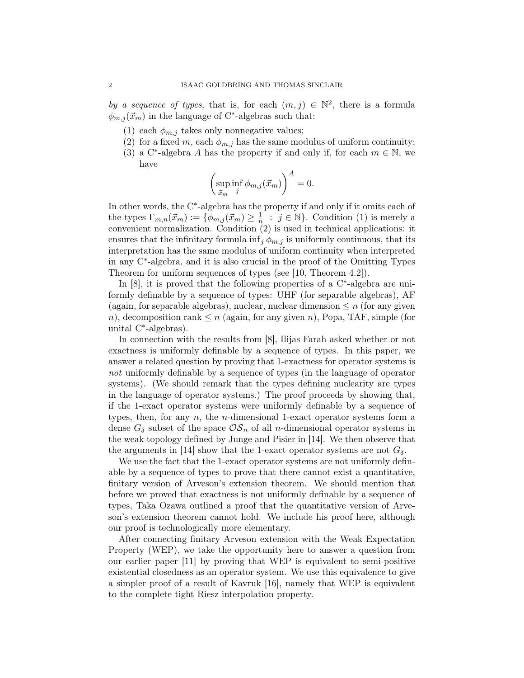by a sequence of types, that is, for each  $(m, j) \in \mathbb{N}^2$ , there is a formula  $\phi_{m,j}(\vec{x}_m)$  in the language of C<sup>\*</sup>-algebras such that:

- (1) each  $\phi_{m,j}$  takes only nonnegative values;
- (2) for a fixed m, each  $\phi_{m,j}$  has the same modulus of uniform continuity;
- (3) a C<sup>\*</sup>-algebra A has the property if and only if, for each  $m \in \mathbb{N}$ , we have

$$
\left(\sup_{\vec{x}_m} \inf_j \phi_{m,j}(\vec{x}_m)\right)^A = 0.
$$

In other words, the C<sup>∗</sup> -algebra has the property if and only if it omits each of the types  $\Gamma_{m,n}(\vec{x}_m) := \{ \phi_{m,j}(\vec{x}_m) \geq \frac{1}{n} \}$  $\frac{1}{n}$ :  $j \in \mathbb{N}$ . Condition (1) is merely a convenient normalization. Condition (2) is used in technical applications: it ensures that the infinitary formula  $\inf_j \phi_{m,j}$  is uniformly continuous, that its interpretation has the same modulus of uniform continuity when interpreted in any C<sup>∗</sup> -algebra, and it is also crucial in the proof of the Omitting Types Theorem for uniform sequences of types (see [10, Theorem 4.2]).

In [8], it is proved that the following properties of a C<sup>∗</sup>-algebra are uniformly definable by a sequence of types: UHF (for separable algebras), AF (again, for separable algebras), nuclear, nuclear dimension  $\leq n$  (for any given n), decomposition rank  $\leq n$  (again, for any given n), Popa, TAF, simple (for unital C<sup>∗</sup> -algebras).

In connection with the results from [8], Ilijas Farah asked whether or not exactness is uniformly definable by a sequence of types. In this paper, we answer a related question by proving that 1-exactness for operator systems is not uniformly definable by a sequence of types (in the language of operator systems). (We should remark that the types defining nuclearity are types in the language of operator systems.) The proof proceeds by showing that, if the 1-exact operator systems were uniformly definable by a sequence of types, then, for any  $n$ , the *n*-dimensional 1-exact operator systems form a dense  $G_{\delta}$  subset of the space  $\mathcal{OS}_n$  of all *n*-dimensional operator systems in the weak topology defined by Junge and Pisier in [14]. We then observe that the arguments in [14] show that the 1-exact operator systems are not  $G_{\delta}$ .

We use the fact that the 1-exact operator systems are not uniformly definable by a sequence of types to prove that there cannot exist a quantitative, finitary version of Arveson's extension theorem. We should mention that before we proved that exactness is not uniformly definable by a sequence of types, Taka Ozawa outlined a proof that the quantitative version of Arveson's extension theorem cannot hold. We include his proof here, although our proof is technologically more elementary.

After connecting finitary Arveson extension with the Weak Expectation Property (WEP), we take the opportunity here to answer a question from our earlier paper [11] by proving that WEP is equivalent to semi-positive existential closedness as an operator system. We use this equivalence to give a simpler proof of a result of Kavruk [16], namely that WEP is equivalent to the complete tight Riesz interpolation property.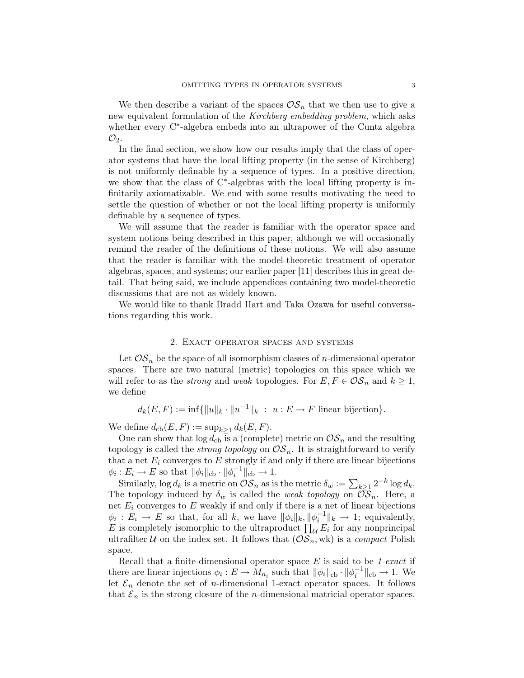We then describe a variant of the spaces  $\mathcal{OS}_n$  that we then use to give a new equivalent formulation of the Kirchberg embedding problem, which asks whether every C<sup>∗</sup> -algebra embeds into an ultrapower of the Cuntz algebra  $\mathcal{O}_2$ .

In the final section, we show how our results imply that the class of operator systems that have the local lifting property (in the sense of Kirchberg) is not uniformly definable by a sequence of types. In a positive direction, we show that the class of C<sup>\*</sup>-algebras with the local lifting property is infinitarily axiomatizable. We end with some results motivating the need to settle the question of whether or not the local lifting property is uniformly definable by a sequence of types.

We will assume that the reader is familiar with the operator space and system notions being described in this paper, although we will occasionally remind the reader of the definitions of these notions. We will also assume that the reader is familiar with the model-theoretic treatment of operator algebras, spaces, and systems; our earlier paper [11] describes this in great detail. That being said, we include appendices containing two model-theoretic discussions that are not as widely known.

We would like to thank Bradd Hart and Taka Ozawa for useful conversations regarding this work.

## 2. Exact operator spaces and systems

Let  $OS_n$  be the space of all isomorphism classes of *n*-dimensional operator spaces. There are two natural (metric) topologies on this space which we will refer to as the *strong* and weak topologies. For  $E, F \in \mathcal{OS}_n$  and  $k \geq 1$ , we define

$$
d_k(E, F) := \inf \{ ||u||_k \cdot ||u^{-1}||_k : u : E \to F \text{ linear bijection} \}.
$$

We define  $d_{\text{cb}}(E, F) := \sup_{k>1} d_k(E, F)$ .

One can show that  $\log d_{\rm cb}$  is a (complete) metric on  $\mathcal{OS}_n$  and the resulting topology is called the *strong topology* on  $\mathcal{OS}_n$ . It is straightforward to verify that a net  $E_i$  converges to  $E$  strongly if and only if there are linear bijections  $\phi_i : E_i \to E$  so that  $\|\phi_i\|_{\text{cb}} \cdot \|\phi_i^{-1}\|_{\text{cb}} \to 1$ .

Similarly,  $\log d_k$  is a metric on  $\mathcal{OS}_n$  as is the metric  $\delta_w := \sum_{k \geq 1} 2^{-k} \log d_k$ . The topology induced by  $\delta_w$  is called the *weak topology* on  $\mathcal{OS}_n$ . Here, a net  $E_i$  converges to  $E$  weakly if and only if there is a net of linear bijections  $\phi_i : E_i \to E$  so that, for all k, we have  $\|\phi_i\|_k, \|\phi_i^{-1}\|_k \to 1$ ; equivalently, E is completely isomorphic to the ultraproduct  $\prod_{\mathcal{U}} E_i$  for any nonprincipal ultrafilter U on the index set. It follows that  $(\mathcal{OS}_n, \text{wk})$  is a *compact* Polish space.

Recall that a finite-dimensional operator space  $E$  is said to be 1-exact if there are linear injections  $\phi_i: E \to M_{n_i}$  such that  $\|\phi_i\|_{\text{cb}} \cdot \|\phi_i^{-1}\|_{\text{cb}} \to 1$ . We let  $\mathcal{E}_n$  denote the set of *n*-dimensional 1-exact operator spaces. It follows that  $\mathcal{E}_n$  is the strong closure of the *n*-dimensional matricial operator spaces.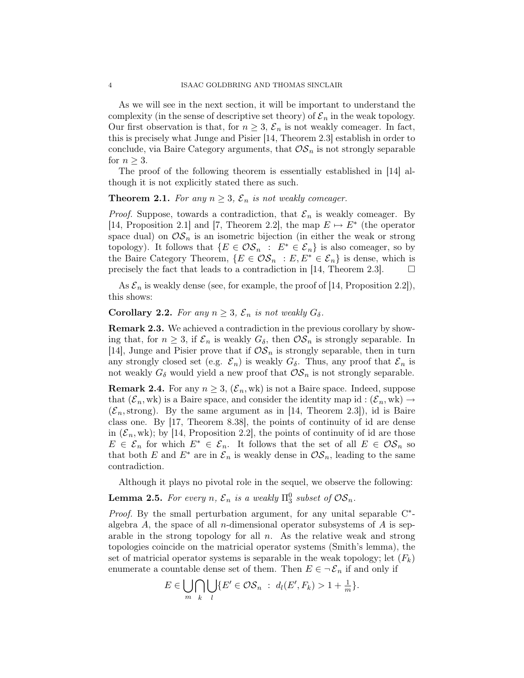As we will see in the next section, it will be important to understand the complexity (in the sense of descriptive set theory) of  $\mathcal{E}_n$  in the weak topology. Our first observation is that, for  $n \geq 3$ ,  $\mathcal{E}_n$  is not weakly comeager. In fact, this is precisely what Junge and Pisier [14, Theorem 2.3] establish in order to conclude, via Baire Category arguments, that  $OS_n$  is not strongly separable for  $n \geq 3$ .

The proof of the following theorem is essentially established in [14] although it is not explicitly stated there as such.

# **Theorem 2.1.** For any  $n \geq 3$ ,  $\mathcal{E}_n$  is not weakly comeager.

*Proof.* Suppose, towards a contradiction, that  $\mathcal{E}_n$  is weakly comeager. By [14, Proposition 2.1] and [7, Theorem 2.2], the map  $E \mapsto E^*$  (the operator space dual) on  $\mathcal{OS}_n$  is an isometric bijection (in either the weak or strong topology). It follows that  $\{E \in \mathcal{OS}_n : E^* \in \mathcal{E}_n\}$  is also comeager, so by the Baire Category Theorem,  $\{E \in \mathcal{OS}_n : E, E^* \in \mathcal{E}_n\}$  is dense, which is precisely the fact that leads to a contradiction in [14, Theorem 2.3].  $\Box$ 

As  $\mathcal{E}_n$  is weakly dense (see, for example, the proof of [14, Proposition 2.2]), this shows:

**Corollary 2.2.** For any  $n \geq 3$ ,  $\mathcal{E}_n$  is not weakly  $G_\delta$ .

Remark 2.3. We achieved a contradiction in the previous corollary by showing that, for  $n \geq 3$ , if  $\mathcal{E}_n$  is weakly  $G_\delta$ , then  $\mathcal{OS}_n$  is strongly separable. In [14], Junge and Pisier prove that if  $OS_n$  is strongly separable, then in turn any strongly closed set (e.g.  $\mathcal{E}_n$ ) is weakly  $G_\delta$ . Thus, any proof that  $\mathcal{E}_n$  is not weakly  $G_{\delta}$  would yield a new proof that  $\mathcal{OS}_n$  is not strongly separable.

**Remark 2.4.** For any  $n \geq 3$ ,  $(\mathcal{E}_n, \text{wk})$  is not a Baire space. Indeed, suppose that  $(\mathcal{E}_n, \text{wk})$  is a Baire space, and consider the identity map id :  $(\mathcal{E}_n, \text{wk}) \rightarrow$  $(\mathcal{E}_n, \text{strong})$ . By the same argument as in [14, Theorem 2.3]), id is Baire class one. By [17, Theorem 8.38], the points of continuity of id are dense in  $(\mathcal{E}_n, \text{wk})$ ; by [14, Proposition 2.2], the points of continuity of id are those  $E \in \mathcal{E}_n$  for which  $E^* \in \mathcal{E}_n$ . It follows that the set of all  $E \in \mathcal{OS}_n$  so that both E and  $E^*$  are in  $\mathcal{E}_n$  is weakly dense in  $\mathcal{OS}_n$ , leading to the same contradiction.

Although it plays no pivotal role in the sequel, we observe the following:

**Lemma 2.5.** For every n,  $\mathcal{E}_n$  is a weakly  $\Pi_3^0$  subset of  $\mathcal{OS}_n$ .

Proof. By the small perturbation argument, for any unital separable C<sup>\*</sup>algebra  $A$ , the space of all *n*-dimensional operator subsystems of  $A$  is separable in the strong topology for all  $n$ . As the relative weak and strong topologies coincide on the matricial operator systems (Smith's lemma), the set of matricial operator systems is separable in the weak topology; let  $(F_k)$ enumerate a countable dense set of them. Then  $E \in \neg \mathcal{E}_n$  if and only if

$$
E \in \bigcup_{m} \bigcap_{k} \bigcup_{l} \{ E' \in \mathcal{OS}_n : d_l(E', F_k) > 1 + \frac{1}{m} \}.
$$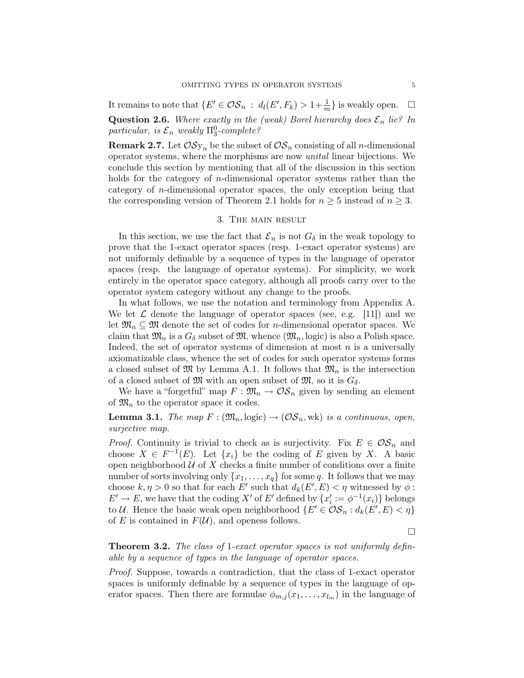It remains to note that  $\{E' \in \mathcal{OS}_n : d_l(E', F_k) > 1 + \frac{1}{m}\}\$ is weakly open.  $\Box$ **Question 2.6.** Where exactly in the (weak) Borel hierarchy does  $\mathcal{E}_n$  lie? In particular, is  $\mathcal{E}_n$  weakly  $\Pi_3^0$ -complete?

**Remark 2.7.** Let  $OSy_n$  be the subset of  $OS_n$  consisting of all *n*-dimensional operator systems, where the morphisms are now unital linear bijections. We conclude this section by mentioning that all of the discussion in this section holds for the category of n-dimensional operator systems rather than the category of  $n$ -dimensional operator spaces, the only exception being that the corresponding version of Theorem 2.1 holds for  $n \geq 5$  instead of  $n \geq 3$ .

### 3. The main result

In this section, we use the fact that  $\mathcal{E}_n$  is not  $G_\delta$  in the weak topology to prove that the 1-exact operator spaces (resp. 1-exact operator systems) are not uniformly definable by a sequence of types in the language of operator spaces (resp. the language of operator systems). For simplicity, we work entirely in the operator space category, although all proofs carry over to the operator system category without any change to the proofs.

In what follows, we use the notation and terminology from Appendix A. We let  $\mathcal L$  denote the language of operator spaces (see, e.g. [11]) and we let  $\mathfrak{M}_n \subseteq \mathfrak{M}$  denote the set of codes for *n*-dimensional operator spaces. We claim that  $\mathfrak{M}_n$  is a  $G_\delta$  subset of  $\mathfrak{M}$ , whence  $(\mathfrak{M}_n, \text{logic})$  is also a Polish space. Indeed, the set of operator systems of dimension at most  $n$  is a universally axiomatizable class, whence the set of codes for such operator systems forms a closed subset of  $\mathfrak{M}$  by Lemma A.1. It follows that  $\mathfrak{M}_n$  is the intersection of a closed subset of  $\mathfrak{M}$  with an open subset of  $\mathfrak{M}$ , so it is  $G_{\delta}$ .

We have a "forgetful" map  $F: \mathfrak{M}_n \to \mathcal{OS}_n$  given by sending an element of  $\mathfrak{M}_n$  to the operator space it codes.

**Lemma 3.1.** The map  $F : (\mathfrak{M}_n, \text{logic}) \to (\mathcal{OS}_n, \text{wk})$  is a continuous, open, surjective map.

*Proof.* Continuity is trivial to check as is surjectivity. Fix  $E \in \mathcal{OS}_n$  and choose  $X \in F^{-1}(E)$ . Let  $\{x_i\}$  be the coding of E given by X. A basic open neighborhood  $U$  of  $X$  checks a finite number of conditions over a finite number of sorts involving only  $\{x_1, \ldots, x_q\}$  for some q. It follows that we may choose  $k, \eta > 0$  so that for each E' such that  $d_k(E', E) < \eta$  witnessed by  $\phi$ :  $E' \to E$ , we have that the coding X' of E' defined by  $\{x'_i := \phi^{-1}(x_i)\}\)$  belongs to U. Hence the basic weak open neighborhood  $\{E' \in \mathcal{OS}_n : d_k(E', E) < \eta\}$ of E is contained in  $F(\mathcal{U})$ , and openess follows.

 $\Box$ 

Theorem 3.2. The class of 1-exact operator spaces is not uniformly definable by a sequence of types in the language of operator spaces.

Proof. Suppose, towards a contradiction, that the class of 1-exact operator spaces is uniformly definable by a sequence of types in the language of operator spaces. Then there are formulae  $\phi_{m,j}(x_1,\ldots,x_{l_m})$  in the language of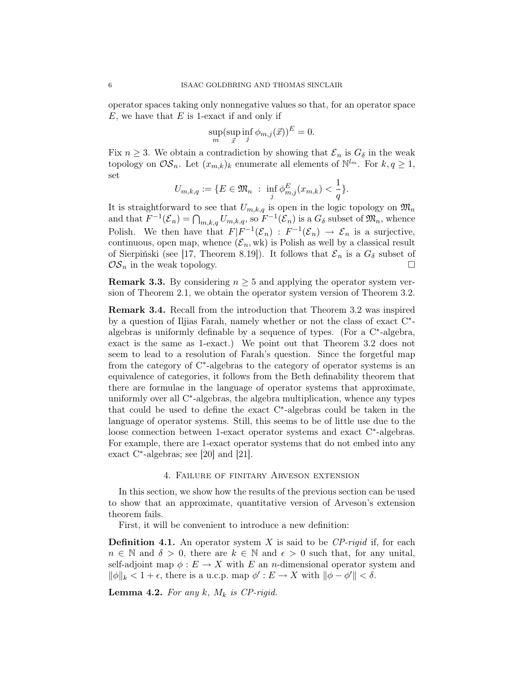operator spaces taking only nonnegative values so that, for an operator space  $E$ , we have that  $E$  is 1-exact if and only if

$$
\sup_m (\sup_{\vec{x}} \inf_j \phi_{m,j}(\vec{x}))^E = 0.
$$

Fix  $n \geq 3$ . We obtain a contradiction by showing that  $\mathcal{E}_n$  is  $G_\delta$  in the weak topology on  $\mathcal{OS}_n$ . Let  $(x_{m,k})_k$  enumerate all elements of  $\mathbb{N}^{l_m}$ . For  $k, q \geq 1$ , set

$$
U_{m,k,q} := \{ E \in \mathfrak{M}_n \ : \ \inf_j \phi_{m,j}^E(x_{m,k}) < \frac{1}{q} \}.
$$

It is straightforward to see that  $U_{m,k,q}$  is open in the logic topology on  $\mathfrak{M}_n$ and that  $F^{-1}(\mathcal{E}_n) = \bigcap_{m,k,q} U_{m,k,q}$ , so  $F^{-1}(\mathcal{E}_n)$  is a  $G_{\delta}$  subset of  $\mathfrak{M}_n$ , whence Polish. We then have that  $F|F^{-1}(\mathcal{E}_n) : F^{-1}(\mathcal{E}_n) \to \mathcal{E}_n$  is a surjective, continuous, open map, whence  $(\mathcal{E}_n, \text{wk})$  is Polish as well by a classical result of Sierpiński (see [17, Theorem 8.19]). It follows that  $\mathcal{E}_n$  is a  $G_\delta$  subset of  $OS_n$  in the weak topology.

**Remark 3.3.** By considering  $n \geq 5$  and applying the operator system version of Theorem 2.1, we obtain the operator system version of Theorem 3.2.

Remark 3.4. Recall from the introduction that Theorem 3.2 was inspired by a question of Iljias Farah, namely whether or not the class of exact C<sup>\*</sup>algebras is uniformly definable by a sequence of types. (For a C<sup>\*</sup>-algebra, exact is the same as 1-exact.) We point out that Theorem 3.2 does not seem to lead to a resolution of Farah's question. Since the forgetful map from the category of C<sup>\*</sup>-algebras to the category of operator systems is an equivalence of categories, it follows from the Beth definability theorem that there are formulae in the language of operator systems that approximate, uniformly over all C<sup>∗</sup>-algebras, the algebra multiplication, whence any types that could be used to define the exact C<sup>∗</sup> -algebras could be taken in the language of operator systems. Still, this seems to be of little use due to the loose connection between 1-exact operator systems and exact C<sup>∗</sup> -algebras. For example, there are 1-exact operator systems that do not embed into any exact C<sup>∗</sup> -algebras; see [20] and [21].

### 4. Failure of finitary Arveson extension

In this section, we show how the results of the previous section can be used to show that an approximate, quantitative version of Arveson's extension theorem fails.

First, it will be convenient to introduce a new definition:

**Definition 4.1.** An operator system X is said to be  $\mathbb{CP}\text{-}rigid$  if, for each  $n \in \mathbb{N}$  and  $\delta > 0$ , there are  $k \in \mathbb{N}$  and  $\epsilon > 0$  such that, for any unital, self-adjoint map  $\phi : E \to X$  with E an n-dimensional operator system and  $\|\phi\|_k < 1 + \epsilon$ , there is a u.c.p. map  $\phi' : E \to X$  with  $\|\phi - \phi'\| < \delta$ .

**Lemma 4.2.** For any  $k$ ,  $M_k$  is CP-rigid.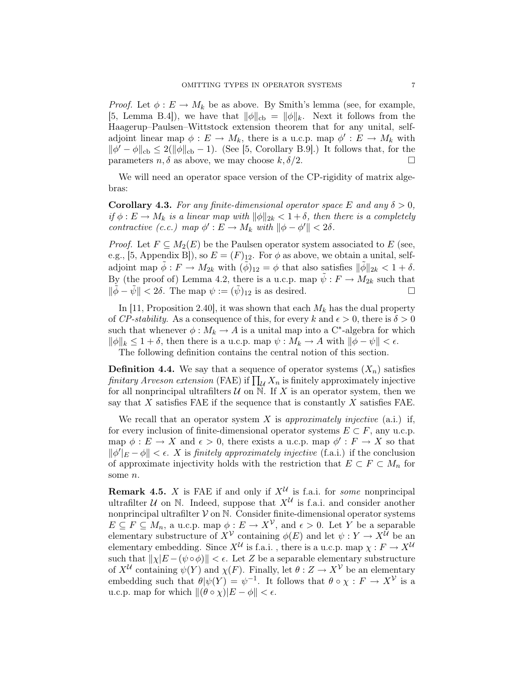*Proof.* Let  $\phi : E \to M_k$  be as above. By Smith's lemma (see, for example, [5, Lemma B.4]), we have that  $\|\phi\|_{cb} = \|\phi\|_{k}$ . Next it follows from the Haagerup–Paulsen–Wittstock extension theorem that for any unital, selfadjoint linear map  $\phi: E \to M_k$ , there is a u.c.p. map  $\phi': E \to M_k$  with  $\|\phi' - \phi\|_{cb} \leq 2(\|\phi\|_{cb} - 1)$ . (See [5, Corollary B.9].) It follows that, for the parameters  $n, \delta$  as above, we may choose  $k, \delta/2$ .

We will need an operator space version of the CP-rigidity of matrix algebras:

**Corollary 4.3.** For any finite-dimensional operator space E and any  $\delta > 0$ , if  $\phi : E \to M_k$  is a linear map with  $\|\phi\|_{2k} < 1+\delta$ , then there is a completely contractive (c.c.) map  $\phi': E \to M_k$  with  $\|\phi - \phi'\| < 2\delta$ .

*Proof.* Let  $F \subseteq M_2(E)$  be the Paulsen operator system associated to E (see, e.g., [5, Appendix B]), so  $E = (F)_{12}$ . For  $\phi$  as above, we obtain a unital, selfadjoint map  $\phi : F \to M_{2k}$  with  $(\phi)_{12} = \phi$  that also satisfies  $\|\phi\|_{2k} < 1 + \delta$ . By (the proof of) Lemma 4.2, there is a u.c.p. map  $\tilde{\psi}: F \to M_{2k}$  such that  $\|\tilde{\phi} - \tilde{\psi}\| < 2\delta$ . The map  $\psi := (\tilde{\psi})_{12}$  is as desired.

In [11, Proposition 2.40], it was shown that each  $M_k$  has the dual property of CP-stability. As a consequence of this, for every k and  $\epsilon > 0$ , there is  $\delta > 0$ such that whenever  $\phi: M_k \to A$  is a unital map into a C<sup>\*</sup>-algebra for which  $\|\phi\|_k \leq 1 + \delta$ , then there is a u.c.p. map  $\psi : M_k \to A$  with  $\|\phi - \psi\| < \epsilon$ .

The following definition contains the central notion of this section.

**Definition 4.4.** We say that a sequence of operator systems  $(X_n)$  satisfies finitary Arveson extension (FAE) if  $\prod_{\mathcal{U}} X_n$  is finitely approximately injective for all nonprincipal ultrafilters  $U$  on N. If X is an operator system, then we say that  $X$  satisfies FAE if the sequence that is constantly  $X$  satisfies FAE.

We recall that an operator system X is approximately injective  $(a.i.)$  if, for every inclusion of finite-dimensional operator systems  $E \subset F$ , any u.c.p. map  $\phi : E \to X$  and  $\epsilon > 0$ , there exists a u.c.p. map  $\phi' : F \to X$  so that  $\|\phi'\|_{E} - \phi\| < \epsilon$ . X is finitely approximately injective (f.a.i.) if the conclusion of approximate injectivity holds with the restriction that  $E \subset F \subset M_n$  for some n.

**Remark 4.5.** X is FAE if and only if  $X^{\mathcal{U}}$  is f.a.i. for *some* nonprincipal ultrafilter  $U$  on N. Indeed, suppose that  $X^U$  is f.a.i. and consider another nonprincipal ultrafilter  $V$  on  $N$ . Consider finite-dimensional operator systems  $E \subseteq F \subseteq M_n$ , a u.c.p. map  $\phi: E \to X^{\mathcal{V}}$ , and  $\epsilon > 0$ . Let Y be a separable elementary substructure of  $X^{\mathcal{V}}$  containing  $\phi(E)$  and let  $\psi: Y \to X^{\mathcal{U}}$  be an elementary embedding. Since  $X^{\mathcal{U}}$  is f.a.i. , there is a u.c.p. map  $\chi : F \to X^{\mathcal{U}}$ such that  $||\chi|E - (\psi \circ \phi)|| < \epsilon$ . Let Z be a separable elementary substructure of  $X^{\mathcal{U}}$  containing  $\psi(Y)$  and  $\chi(F)$ . Finally, let  $\theta: Z \to X^{\mathcal{V}}$  be an elementary embedding such that  $\theta|\psi(Y) = \psi^{-1}$ . It follows that  $\theta \circ \chi : F \to X^{\mathcal{V}}$  is a u.c.p. map for which  $\|(\theta \circ \chi)|E - \phi\| < \epsilon$ .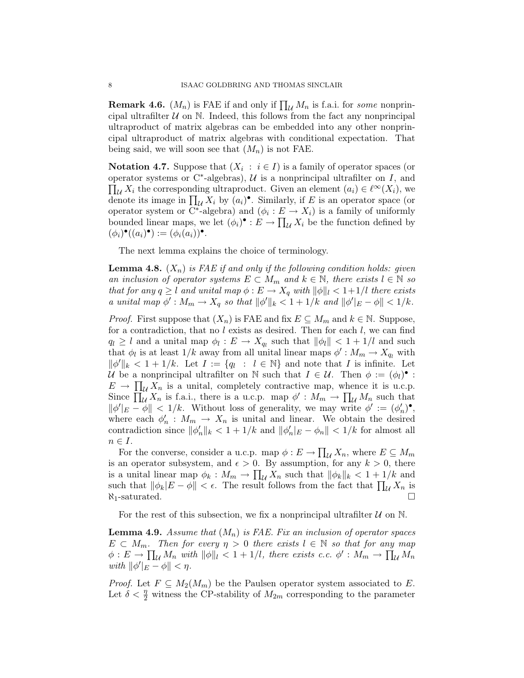**Remark 4.6.**  $(M_n)$  is FAE if and only if  $\prod_{\mathcal{U}} M_n$  is f.a.i. for *some* nonprincipal ultrafilter  $U$  on N. Indeed, this follows from the fact any nonprincipal ultraproduct of matrix algebras can be embedded into any other nonprincipal ultraproduct of matrix algebras with conditional expectation. That being said, we will soon see that  $(M_n)$  is not FAE.

**Notation 4.7.** Suppose that  $(X_i : i \in I)$  is a family of operator spaces (or operator systems or  $C^*$ -algebras),  $\mathcal U$  is a nonprincipal ultrafilter on  $I$ , and  $\prod_{\mathcal{U}} X_i$  the corresponding ultraproduct. Given an element  $(a_i) \in \ell^{\infty}(X_i)$ , we denote its image in  $\prod_{\mathcal{U}} X_i$  by  $(a_i)^\bullet$ . Similarly, if E is an operator space (or operator system or  $\overline{C^*}$ -algebra) and  $(\phi_i : E \to X_i)$  is a family of uniformly bounded linear maps, we let  $(\phi_i)^\bullet : E \to \prod_{\mathcal{U}} X_i$  be the function defined by  $(\phi_i)^\bullet((a_i)^\bullet) := (\phi_i(a_i))^\bullet.$ 

The next lemma explains the choice of terminology.

**Lemma 4.8.**  $(X_n)$  is FAE if and only if the following condition holds: given an inclusion of operator systems  $E \subset M_m$  and  $k \in \mathbb{N}$ , there exists  $l \in \mathbb{N}$  so that for any  $q \geq l$  and unital map  $\phi : E \to X_q$  with  $\|\phi\|_{l} < 1+1/l$  there exists a unital map  $\phi': M_m \to X_q$  so that  $\|\phi'\|_k < 1 + 1/k$  and  $\|\phi'\|_k - \phi\| < 1/k$ .

*Proof.* First suppose that  $(X_n)$  is FAE and fix  $E \subseteq M_m$  and  $k \in \mathbb{N}$ . Suppose, for a contradiction, that no  $l$  exists as desired. Then for each  $l$ , we can find  $q_l \geq l$  and a unital map  $\phi_l : E \to X_{q_l}$  such that  $\|\phi_l\| < 1 + 1/l$  and such that  $\phi_l$  is at least  $1/k$  away from all unital linear maps  $\phi': M_m \to X_{q_l}$  with  $\|\phi'\|_k < 1 + 1/k$ . Let  $I := \{q_l : l \in \mathbb{N}\}\$  and note that I is infinite. Let U be a nonprincipal ultrafilter on N such that  $I \in \mathcal{U}$ . Then  $\phi := (\phi_l)^{\bullet}$ :  $E \to \prod_{\mathcal{U}} X_n$  is a unital, completely contractive map, whence it is u.c.p. Since  $\prod_{\mathcal{U}} X_n$  is f.a.i., there is a u.c.p. map  $\phi' : M_m \to \prod_{\mathcal{U}} M_n$  such that  $\|\phi'\|_E - \phi\| < 1/k$ . Without loss of generality, we may write  $\phi' := (\phi'_n)^{\bullet}$ , where each  $\phi'_n : M_m \to X_n$  is unital and linear. We obtain the desired contradiction since  $\|\phi'_n\|_k < 1 + 1/k$  and  $\|\phi'_n\|_E - \phi_n \| < 1/k$  for almost all  $n \in I$ .

For the converse, consider a u.c.p. map  $\phi: E \to \prod_{\mathcal{U}} X_n$ , where  $E \subseteq M_m$ is an operator subsystem, and  $\epsilon > 0$ . By assumption, for any  $k > 0$ , there is a unital linear map  $\phi_k : M_m \to \prod_{\mathcal{U}} X_n$  such that  $\|\phi_k\|_k < 1 + 1/k$  and such that  $\|\phi_k|E - \phi\| < \epsilon$ . The result follows from the fact that  $\prod_{\mathcal{U}} X_n$  is  $\aleph_1$ -saturated.  $\square$ 

For the rest of this subsection, we fix a nonprincipal ultrafilter  $U$  on  $N$ .

**Lemma 4.9.** Assume that  $(M_n)$  is FAE. Fix an inclusion of operator spaces  $E \subset M_m$ . Then for every  $\eta > 0$  there exists  $l \in \mathbb{N}$  so that for any map  $\phi: E \to \prod_{\mathcal{U}} M_n$  with  $\|\phi\|_{l} < 1 + 1/l$ , there exists c.c.  $\phi': M_m \to \prod_{\mathcal{U}} M_n$ with  $\|\phi'\|_E - \phi\| < \eta$ .

*Proof.* Let  $F \subseteq M_2(M_m)$  be the Paulsen operator system associated to E. Let  $\delta < \frac{\eta}{2}$  witness the CP-stability of  $M_{2m}$  corresponding to the parameter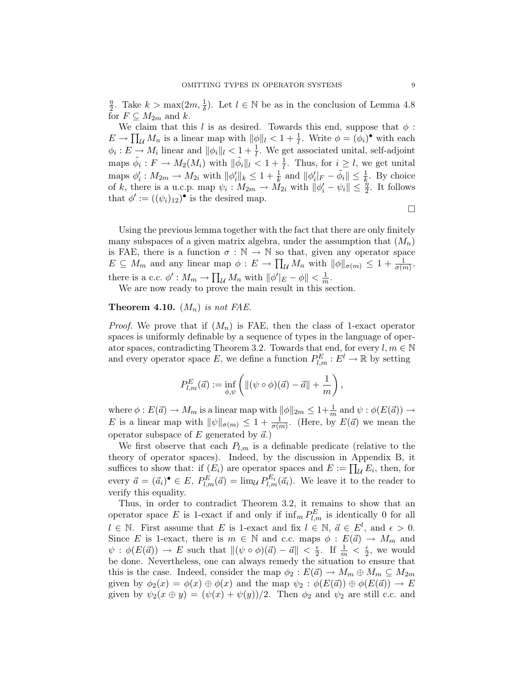η  $\frac{\eta}{2}$ . Take  $k > \max(2m, \frac{1}{\delta})$ . Let  $l \in \mathbb{N}$  be as in the conclusion of Lemma 4.8 for  $F \subseteq M_{2m}$  and k.

We claim that this l is as desired. Towards this end, suppose that  $\phi$ :  $E \to \prod_{\mathcal{U}} M_n$  is a linear map with  $\|\phi\|_{l} < 1 + \frac{1}{l}$ . Write  $\phi = (\phi_i)^{\bullet}$  with each  $\phi_i: E \to M_i$  linear and  $\|\phi_i\|_l < 1 + \frac{1}{l}$ . We get associated unital, self-adjoint maps  $\tilde{\phi}_i : F \to M_2(M_i)$  with  $\|\tilde{\phi}_i\|_l < 1 + \frac{1}{l}$ . Thus, for  $i \geq l$ , we get unital maps  $\phi'_i : M_{2m} \to M_{2i}$  with  $\|\phi'_i\|_k \leq 1 + \frac{1}{k}$  and  $\|\phi'_i\|_F - \tilde{\phi}_i\| \leq \frac{1}{k}$ . By choice of k, there is a u.c.p. map  $\psi_i: M_{2m} \to M_{2i}$  with  $\|\phi'_i - \psi_i\| \leq \frac{\eta}{2}$ . It follows that  $\phi' := ((\psi_i)_{12})^{\bullet}$  is the desired map.

 $\Box$ 

Using the previous lemma together with the fact that there are only finitely many subspaces of a given matrix algebra, under the assumption that  $(M_n)$ is FAE, there is a function  $\sigma : \mathbb{N} \to \mathbb{N}$  so that, given any operator space  $E \subseteq M_m$  and any linear map  $\phi: E \to \prod_{\mathcal{U}} M_n$  with  $\|\phi\|_{\sigma(m)} \leq 1 + \frac{1}{\sigma(m)},$ there is a c.c.  $\phi' : M_m \to \prod_{\mathcal{U}} M_n$  with  $\|\phi'\|_E - \phi\| < \frac{1}{m}$  $\frac{1}{m}$ .

We are now ready to prove the main result in this section.

## **Theorem 4.10.**  $(M_n)$  is not FAE.

*Proof.* We prove that if  $(M_n)$  is FAE, then the class of 1-exact operator spaces is uniformly definable by a sequence of types in the language of operator spaces, contradicting Theorem 3.2. Towards that end, for every  $l, m \in \mathbb{N}$ and every operator space E, we define a function  $P_{l,m}^E : E^l \to \mathbb{R}$  by setting

$$
P_{l,m}^{E}(\vec{a}) := \inf_{\phi,\psi} \left( \| (\psi \circ \phi)(\vec{a}) - \vec{a} \| + \frac{1}{m} \right),
$$

where  $\phi: E(\vec{a}) \to M_m$  is a linear map with  $\|\phi\|_{2m} \leq 1+\frac{1}{m}$  and  $\psi: \phi(E(\vec{a})) \to$ E is a linear map with  $\|\psi\|_{\sigma(m)} \leq 1 + \frac{1}{\sigma(m)}$ . (Here, by  $E(\vec{a})$  we mean the operator subspace of E generated by  $\vec{a}$ .)

We first observe that each  $P_{l,m}$  is a definable predicate (relative to the theory of operator spaces). Indeed, by the discussion in Appendix B, it suffices to show that: if  $(E_i)$  are operator spaces and  $E := \prod_{\mathcal{U}} E_i$ , then, for every  $\vec{a} = (\vec{a}_i)^{\bullet} \in E$ ,  $P_{l,m}^{E}(\vec{a}) = \lim_{\mathcal{U}} P_{l,m}^{E_i}(\vec{a}_i)$ . We leave it to the reader to verify this equality.

Thus, in order to contradict Theorem 3.2, it remains to show that an operator space E is 1-exact if and only if  $\inf_m P_{l,m}^E$  is identically 0 for all  $l \in \mathbb{N}$ . First assume that E is 1-exact and fix  $l \in \mathbb{N}$ ,  $\vec{a} \in E^{l}$ , and  $\epsilon > 0$ . Since E is 1-exact, there is  $m \in \mathbb{N}$  and c.c. maps  $\phi : E(\vec{a}) \to M_m$  and  $\psi : \phi(E(\vec{a})) \to E$  such that  $\|(\psi \circ \phi)(\vec{a}) - \vec{a}\| < \frac{\epsilon}{2}$  $\frac{\epsilon}{2}$ . If  $\frac{1}{m} < \frac{\epsilon}{2}$  $\frac{\epsilon}{2}$ , we would be done. Nevertheless, one can always remedy the situation to ensure that this is the case. Indeed, consider the map  $\phi_2 : E(\vec{a}) \to M_m \oplus M_m \subseteq M_{2m}$ given by  $\phi_2(x) = \phi(x) \oplus \phi(x)$  and the map  $\psi_2 : \phi(E(\vec{a})) \oplus \phi(E(\vec{a})) \to E$ given by  $\psi_2(x \oplus y) = (\psi(x) + \psi(y))/2$ . Then  $\phi_2$  and  $\psi_2$  are still c.c. and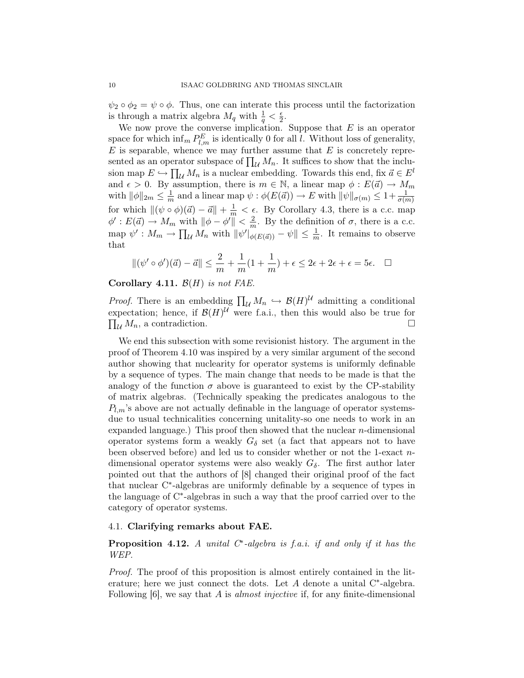$\psi_2 \circ \phi_2 = \psi \circ \phi$ . Thus, one can interate this process until the factorization is through a matrix algebra  $M_q$  with  $\frac{1}{q} < \frac{\epsilon}{2}$  $\frac{\epsilon}{2}$ .

We now prove the converse implication. Suppose that  $E$  is an operator space for which  $\inf_m P_{l,m}^E$  is identically 0 for all l. Without loss of generality,  $E$  is separable, whence we may further assume that  $E$  is concretely represented as an operator subspace of  $\prod_{\mathcal{U}} M_n$ . It suffices to show that the inclusion map  $E \hookrightarrow \prod_{\mathcal{U}} M_n$  is a nuclear embedding. Towards this end, fix  $\vec{a} \in E^l$ and  $\epsilon > 0$ . By assumption, there is  $m \in \mathbb{N}$ , a linear map  $\phi : E(\vec{a}) \to M_m$ with  $\|\phi\|_{2m} \leq \frac{1}{m}$  $\frac{1}{m}$  and a linear map  $\psi : \phi(E(\vec{a})) \to E$  with  $\|\psi\|_{\sigma(m)} \leq 1 + \frac{1}{\sigma(m)}$ for which  $\|(\psi \circ \phi)(\vec{a}) - \vec{a}\| + \frac{1}{m} < \epsilon$ . By Corollary 4.3, there is a c.c. map  $\phi' : E(\vec{a}) \to M_m$  with  $\|\phi - \phi'\| < \frac{2}{m}$  $\frac{2}{m}$ . By the definition of  $\sigma$ , there is a c.c. map  $\psi': M_m \to \prod_{\mathcal{U}} M_n$  with  $\|\psi'\|_{\phi(E(\vec{a}))} - \psi\| \leq \frac{1}{m}$ . It remains to observe that

$$
\|(\psi' \circ \phi')(\vec{a}) - \vec{a}\| \le \frac{2}{m} + \frac{1}{m}(1 + \frac{1}{m}) + \epsilon \le 2\epsilon + 2\epsilon + \epsilon = 5\epsilon. \quad \Box
$$

Corollary 4.11.  $\mathcal{B}(H)$  is not FAE.

*Proof.* There is an embedding  $\prod_{\mathcal{U}} M_n \hookrightarrow \mathcal{B}(H)^{\mathcal{U}}$  admitting a conditional expectation; hence, if  $\mathcal{B}(H)$ <sup>U</sup> were f.a.i., then this would also be true for  $\prod_{\mathcal{U}} M_n$ , a contradiction.

We end this subsection with some revisionist history. The argument in the proof of Theorem 4.10 was inspired by a very similar argument of the second author showing that nuclearity for operator systems is uniformly definable by a sequence of types. The main change that needs to be made is that the analogy of the function  $\sigma$  above is guaranteed to exist by the CP-stability of matrix algebras. (Technically speaking the predicates analogous to the  $P_{l,m}$ 's above are not actually definable in the language of operator systemsdue to usual technicalities concerning unitality-so one needs to work in an expanded language.) This proof then showed that the nuclear  $n$ -dimensional operator systems form a weakly  $G_{\delta}$  set (a fact that appears not to have been observed before) and led us to consider whether or not the 1-exact ndimensional operator systems were also weakly  $G_{\delta}$ . The first author later pointed out that the authors of [8] changed their original proof of the fact that nuclear C<sup>∗</sup> -algebras are uniformly definable by a sequence of types in the language of C<sup>∗</sup> -algebras in such a way that the proof carried over to the category of operator systems.

## 4.1. Clarifying remarks about FAE.

**Proposition 4.12.** A unital  $C^*$ -algebra is f.a.i. if and only if it has the WEP.

Proof. The proof of this proposition is almost entirely contained in the literature; here we just connect the dots. Let  $A$  denote a unital  $C^*$ -algebra. Following  $[6]$ , we say that A is *almost injective* if, for any finite-dimensional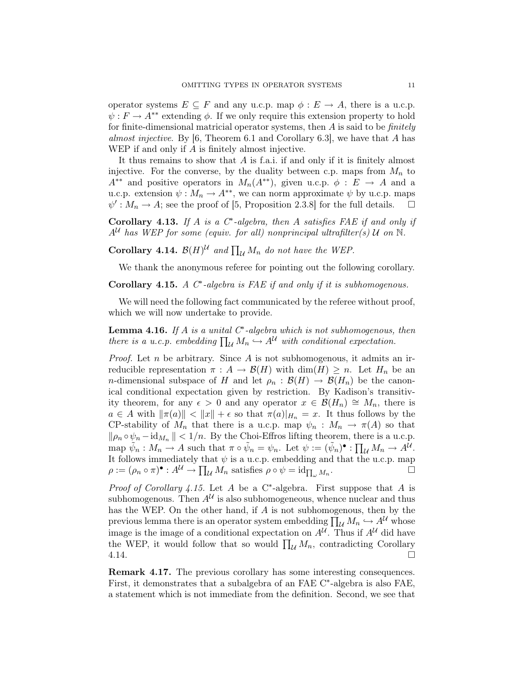operator systems  $E \subseteq F$  and any u.c.p. map  $\phi : E \to A$ , there is a u.c.p.  $\psi : F \to A^{**}$  extending  $\phi$ . If we only require this extension property to hold for finite-dimensional matricial operator systems, then  $A$  is said to be *finitely* almost injective. By [6, Theorem 6.1 and Corollary 6.3], we have that A has WEP if and only if A is finitely almost injective.

It thus remains to show that A is f.a.i. if and only if it is finitely almost injective. For the converse, by the duality between c.p. maps from  $M_n$  to  $A^{**}$  and positive operators in  $M_n(A^{**})$ , given u.c.p.  $\phi : E \to A$  and a u.c.p. extension  $\psi : M_n \to A^{**}$ , we can norm approximate  $\psi$  by u.c.p. maps  $\psi': M_n \to A$ ; see the proof of [5, Proposition 2.3.8] for the full details.  $\square$ 

Corollary 4.13. If A is a  $C^*$ -algebra, then A satisfies FAE if and only if  $A^{\mathcal{U}}$  has WEP for some (equiv. for all) nonprincipal ultrafilter(s)  $\mathcal{U}$  on  $\mathbb{N}$ .

**Corollary 4.14.**  $\mathcal{B}(H)^{\mathcal{U}}$  and  $\prod_{\mathcal{U}} M_n$  do not have the WEP.

We thank the anonymous referee for pointing out the following corollary.

Corollary 4.15.  $A$   $C^*$ -algebra is FAE if and only if it is subhomogenous.

We will need the following fact communicated by the referee without proof, which we will now undertake to provide.

**Lemma 4.16.** If A is a unital  $C^*$ -algebra which is not subhomogenous, then there is a u.c.p. embedding  $\prod_{\mathcal{U}} M_n \hookrightarrow A^{\mathcal{U}}$  with conditional expectation.

*Proof.* Let n be arbitrary. Since  $A$  is not subhomogenous, it admits an irreducible representation  $\pi : A \to \mathcal{B}(H)$  with  $\dim(H) \geq n$ . Let  $H_n$  be an *n*-dimensional subspace of H and let  $\rho_n : \mathcal{B}(H) \to \mathcal{B}(H_n)$  be the canonical conditional expectation given by restriction. By Kadison's transitivity theorem, for any  $\epsilon > 0$  and any operator  $x \in \mathcal{B}(H_n) \cong M_n$ , there is  $a \in A$  with  $\|\pi(a)\| < \|x\| + \epsilon$  so that  $\pi(a)|_{H_n} = x$ . It thus follows by the CP-stability of  $M_n$  that there is a u.c.p. map  $\psi_n : M_n \to \pi(A)$  so that  $\|\rho_n \circ \psi_n - \mathrm{id}_{M_n}\| < 1/n$ . By the Choi-Effros lifting theorem, there is a u.c.p. map  $\tilde{\psi}_n : M_n \to A$  such that  $\pi \circ \tilde{\psi}_n = \psi_n$ . Let  $\psi := (\tilde{\psi}_n)^{\bullet} : \prod_{\mathcal{U}} M_n \to A^{\mathcal{U}}$ . It follows immediately that  $\psi$  is a u.c.p. embedding and that the u.c.p. map  $\rho := (\rho_n \circ \pi)^{\bullet} : A^{\mathcal{U}} \to \prod_{\mathcal{U}} M_n$  satisfies  $\rho \circ \psi = \mathrm{id}_{\prod_{\omega} M_n}$ .

*Proof of Corollary 4.15.* Let  $A$  be a C<sup>\*</sup>-algebra. First suppose that  $A$  is subhomogenous. Then  $A^{\mathcal{U}}$  is also subhomogeneous, whence nuclear and thus has the WEP. On the other hand, if A is not subhomogenous, then by the previous lemma there is an operator system embedding  $\prod_{\mathcal{U}} M_n \hookrightarrow A^{\mathcal{U}}$  whose image is the image of a conditional expectation on  $A^{\mathcal{U}}$ . Thus if  $A^{\mathcal{U}}$  did have the WEP, it would follow that so would  $\prod_{\mathcal{U}} M_n$ , contradicting Corollary  $4.14.$ 

Remark 4.17. The previous corollary has some interesting consequences. First, it demonstrates that a subalgebra of an FAE C<sup>∗</sup> -algebra is also FAE, a statement which is not immediate from the definition. Second, we see that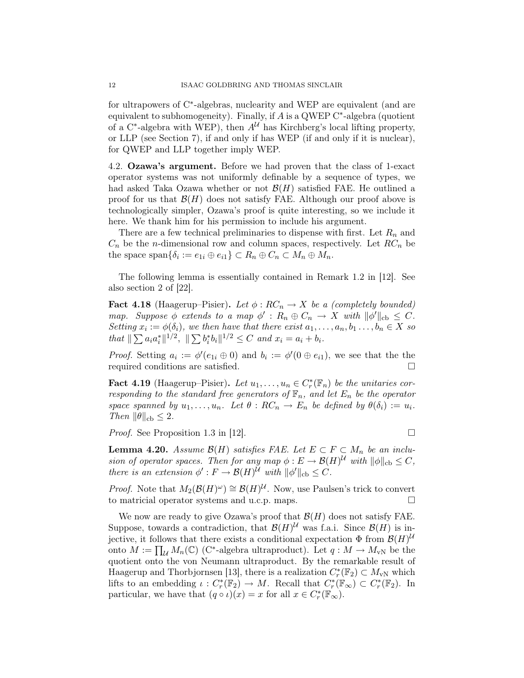for ultrapowers of C<sup>∗</sup> -algebras, nuclearity and WEP are equivalent (and are equivalent to subhomogeneity). Finally, if  $A$  is a QWEP C $*$ -algebra (quotient of a C<sup>\*</sup>-algebra with WEP), then  $A^{\mathcal{U}}$  has Kirchberg's local lifting property, or LLP (see Section 7), if and only if has WEP (if and only if it is nuclear), for QWEP and LLP together imply WEP.

4.2. Ozawa's argument. Before we had proven that the class of 1-exact operator systems was not uniformly definable by a sequence of types, we had asked Taka Ozawa whether or not  $\mathcal{B}(H)$  satisfied FAE. He outlined a proof for us that  $\mathcal{B}(H)$  does not satisfy FAE. Although our proof above is technologically simpler, Ozawa's proof is quite interesting, so we include it here. We thank him for his permission to include his argument.

There are a few technical preliminaries to dispense with first. Let  $R_n$  and  $C_n$  be the *n*-dimensional row and column spaces, respectively. Let  $RC_n$  be the space span $\{\delta_i := e_{1i} \oplus e_{i1}\} \subset R_n \oplus C_n \subset M_n \oplus M_n$ .

The following lemma is essentially contained in Remark 1.2 in [12]. See also section 2 of [22].

**Fact 4.18** (Haagerup–Pisier). Let  $\phi$ :  $RC_n \rightarrow X$  be a (completely bounded) map. Suppose  $\phi$  extends to a map  $\phi': R_n \oplus C_n \to X$  with  $\|\phi'\|_{cb} \leq C$ . Setting  $x_i := \phi(\delta_i)$ , we then have that there exist  $a_1, \ldots, a_n, b_1 \ldots, b_n \in X$  so that  $\|\sum a_i a_i^*\|^{1/2}$ ,  $\|\sum b_i^* b_i\|^{1/2} \leq C$  and  $x_i = a_i + b_i$ .

*Proof.* Setting  $a_i := \phi'(e_{1i} \oplus 0)$  and  $b_i := \phi'(0 \oplus e_{i1})$ , we see that the the required conditions are satisfied.

**Fact 4.19** (Haagerup–Pisier). Let  $u_1, \ldots, u_n \in C_r^*(\mathbb{F}_n)$  be the unitaries corresponding to the standard free generators of  $\mathbb{F}_n$ , and let  $E_n$  be the operator space spanned by  $u_1, \ldots, u_n$ . Let  $\theta : RC_n \to E_n$  be defined by  $\theta(\delta_i) := u_i$ . Then  $\|\theta\|_{\text{cb}} \leq 2$ .

*Proof.* See Proposition 1.3 in [12].

**Lemma 4.20.** Assume  $\mathcal{B}(H)$  satisfies FAE. Let  $E \subset F \subset M_n$  be an inclusion of operator spaces. Then for any map  $\phi : E \to \mathcal{B}(H)^{\mathcal{U}}$  with  $\|\phi\|_{\text{cb}} \leq C$ , there is an extension  $\phi': F \to \mathcal{B}(H)^{\mathcal{U}}$  with  $\|\phi'\|_{\text{cb}} \leq C$ .

*Proof.* Note that  $M_2(\mathcal{B}(H)^\omega) \cong \mathcal{B}(H)^\mathcal{U}$ . Now, use Paulsen's trick to convert to matricial operator systems and u.c.p. maps.

We now are ready to give Ozawa's proof that  $\mathcal{B}(H)$  does not satisfy FAE. Suppose, towards a contradiction, that  $\mathcal{B}(H)$ <sup>U</sup> was f.a.i. Since  $\mathcal{B}(H)$  is injective, it follows that there exists a conditional expectation  $\Phi$  from  $\mathcal{B}(H)^{\mathcal{U}}$ onto  $M := \prod_{\mathcal{U}} M_n(\mathbb{C})$  (C<sup>\*</sup>-algebra ultraproduct). Let  $q : M \to M_{\text{vN}}$  be the quotient onto the von Neumann ultraproduct. By the remarkable result of Haagerup and Thorbjornsen [13], there is a realization  $C_r^*(\mathbb{F}_2) \subset M_{\nu N}$  which lifts to an embedding  $\iota: C^*_r(\mathbb{F}_2) \to M$ . Recall that  $C^*_r(\mathbb{F}_{\infty}) \subset C^*_r(\mathbb{F}_2)$ . In particular, we have that  $(q \circ \iota)(x) = x$  for all  $x \in C_r^*(\mathbb{F}_\infty)$ .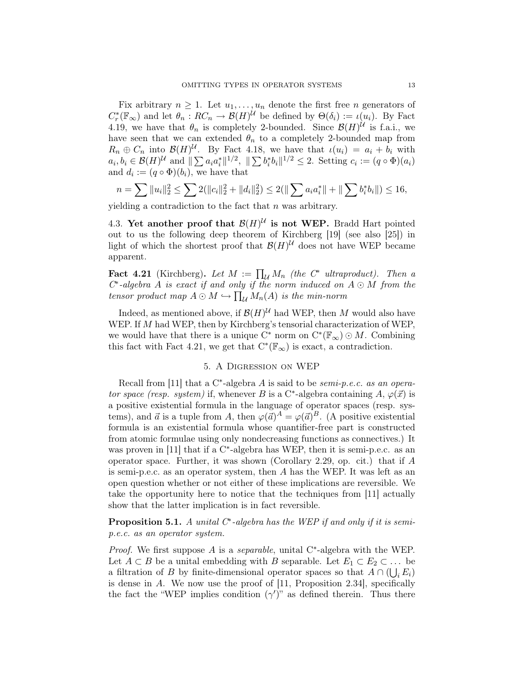Fix arbitrary  $n \geq 1$ . Let  $u_1, \ldots, u_n$  denote the first free *n* generators of  $C_r^*(\mathbb{F}_{\infty})$  and let  $\theta_n: RC_n \to \mathcal{B}(H)^{\mathcal{U}}$  be defined by  $\Theta(\delta_i) := \iota(u_i)$ . By Fact 4.19, we have that  $\theta_n$  is completely 2-bounded. Since  $\mathcal{B}(H)$ <sup>U</sup> is f.a.i., we have seen that we can extended  $\theta_n$  to a completely 2-bounded map from  $R_n \oplus C_n$  into  $\mathcal{B}(H)$ <sup>U</sup>. By Fact 4.18, we have that  $\iota(u_i) = a_i + b_i$  with  $a_i, b_i \in \mathcal{B}(H)^{\mathcal{U}}$  and  $\Vert \sum a_i a_i^* \Vert^{1/2}$ ,  $\Vert \sum b_i^* b_i \Vert^{1/2} \leq 2$ . Setting  $c_i := (q \circ \Phi)(a_i)$ and  $d_i := (q \circ \Phi)(b_i)$ , we have that

$$
n = \sum ||u_i||_2^2 \le \sum 2(||c_i||_2^2 + ||d_i||_2^2) \le 2(||\sum a_i a_i^*|| + ||\sum b_i^* b_i||) \le 16,
$$

yielding a contradiction to the fact that  $n$  was arbitrary.

4.3. Yet another proof that  $\mathcal{B}(H)^{\mathcal{U}}$  is not WEP. Bradd Hart pointed out to us the following deep theorem of Kirchberg [19] (see also [25]) in light of which the shortest proof that  $\mathcal{B}(H)$ <sup>U</sup> does not have WEP became apparent.

**Fact 4.21** (Kirchberg). Let  $M := \prod_{\mathcal{U}} M_n$  (the  $C^*$  ultraproduct). Then a  $C^*$ -algebra A is exact if and only if the norm induced on  $A \odot M$  from the tensor product map  $A \odot M \hookrightarrow \prod_{\mathcal{U}} M_n(A)$  is the min-norm

Indeed, as mentioned above, if  $\mathcal{B}(H)$ <sup>U</sup> had WEP, then M would also have WEP. If M had WEP, then by Kirchberg's tensorial characterization of WEP, we would have that there is a unique  $\overline{C}^*$  norm on  $C^*(\mathbb{F}_{\infty}) \odot M$ . Combining this fact with Fact 4.21, we get that  $C^*(\mathbb{F}_{\infty})$  is exact, a contradiction.

# 5. A Digression on WEP

Recall from [11] that a C<sup>\*</sup>-algebra  $A$  is said to be *semi-p.e.c.* as an operator space (resp. system) if, whenever B is a C<sup>\*</sup>-algebra containing A,  $\varphi(\vec{x})$  is a positive existential formula in the language of operator spaces (resp. systems), and  $\vec{a}$  is a tuple from A, then  $\varphi(\vec{a})^A = \varphi(\vec{a})^B$ . (A positive existential formula is an existential formula whose quantifier-free part is constructed from atomic formulae using only nondecreasing functions as connectives.) It was proven in [11] that if a C<sup>\*</sup>-algebra has WEP, then it is semi-p.e.c. as an operator space. Further, it was shown (Corollary 2.29, op. cit.) that if A is semi-p.e.c. as an operator system, then A has the WEP. It was left as an open question whether or not either of these implications are reversible. We take the opportunity here to notice that the techniques from [11] actually show that the latter implication is in fact reversible.

**Proposition 5.1.** A unital  $C^*$ -algebra has the WEP if and only if it is semip.e.c. as an operator system.

*Proof.* We first suppose  $A$  is a *separable*, unital C<sup>\*</sup>-algebra with the WEP. Let  $A \subset B$  be a unital embedding with B separable. Let  $E_1 \subset E_2 \subset \dots$  be a filtration of B by finite-dimensional operator spaces so that  $A \cap (\bigcup_i E_i)$ is dense in  $A$ . We now use the proof of  $[11,$  Proposition 2.34, specifically the fact the "WEP implies condition  $(\gamma')$ " as defined therein. Thus there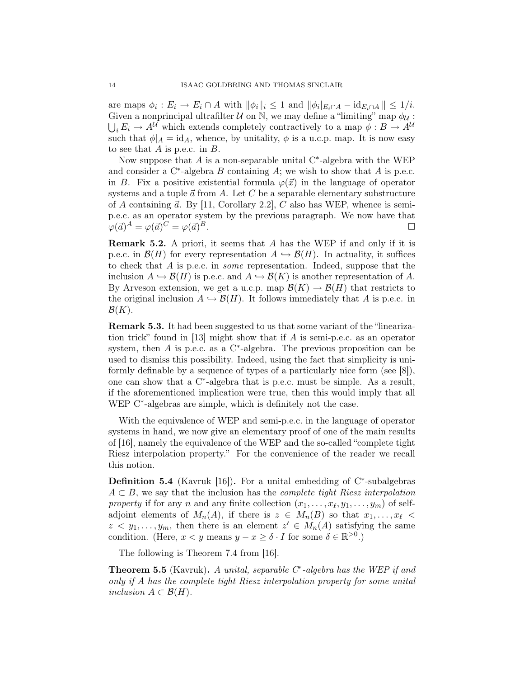are maps  $\phi_i : E_i \to E_i \cap A$  with  $\|\phi_i\|_i \leq 1$  and  $\|\phi_i\|_{E_i \cap A} - \mathrm{id}_{E_i \cap A}\| \leq 1/i$ . Given a nonprincipal ultrafilter  $U$  on N, we may define a "limiting" map  $\phi_{U}$ :  $\bigcup_i E_i \to A^{\mathcal{U}}$  which extends completely contractively to a map  $\phi: B \to A^{\mathcal{U}}$ such that  $\phi|_A = id_A$ , whence, by unitality,  $\phi$  is a u.c.p. map. It is now easy to see that  $A$  is p.e.c. in  $B$ .

Now suppose that  $A$  is a non-separable unital  $C^*$ -algebra with the WEP and consider a  $C^*$ -algebra B containing A; we wish to show that A is p.e.c. in B. Fix a positive existential formula  $\varphi(\vec{x})$  in the language of operator systems and a tuple  $\vec{a}$  from A. Let C be a separable elementary substructure of A containing  $\vec{a}$ . By [11, Corollary 2.2], C also has WEP, whence is semip.e.c. as an operator system by the previous paragraph. We now have that  $\varphi(\vec{a})^A = \varphi(\vec{a})^C = \varphi(\vec{a})$  $\Box$ 

Remark 5.2. A priori, it seems that A has the WEP if and only if it is p.e.c. in  $\mathcal{B}(H)$  for every representation  $A \hookrightarrow \mathcal{B}(H)$ . In actuality, it suffices to check that A is p.e.c. in some representation. Indeed, suppose that the inclusion  $A \hookrightarrow \mathcal{B}(H)$  is p.e.c. and  $A \hookrightarrow \mathcal{B}(K)$  is another representation of A. By Arveson extension, we get a u.c.p. map  $\mathcal{B}(K) \to \mathcal{B}(H)$  that restricts to the original inclusion  $A \hookrightarrow \mathcal{B}(H)$ . It follows immediately that A is p.e.c. in  $\mathcal{B}(K)$ .

Remark 5.3. It had been suggested to us that some variant of the "linearization trick" found in [13] might show that if A is semi-p.e.c. as an operator system, then  $A$  is p.e.c. as a C<sup>\*</sup>-algebra. The previous proposition can be used to dismiss this possibility. Indeed, using the fact that simplicity is uniformly definable by a sequence of types of a particularly nice form (see [8]), one can show that a C<sup>∗</sup> -algebra that is p.e.c. must be simple. As a result, if the aforementioned implication were true, then this would imply that all WEP C<sup>\*</sup>-algebras are simple, which is definitely not the case.

With the equivalence of WEP and semi-p.e.c. in the language of operator systems in hand, we now give an elementary proof of one of the main results of [16], namely the equivalence of the WEP and the so-called "complete tight Riesz interpolation property." For the convenience of the reader we recall this notion.

**Definition 5.4** (Kavruk [16]). For a unital embedding of  $C^*$ -subalgebras  $A \subset B$ , we say that the inclusion has the *complete tight Riesz interpolation* property if for any n and any finite collection  $(x_1, \ldots, x_\ell, y_1, \ldots, y_m)$  of selfadjoint elements of  $M_n(A)$ , if there is  $z \in M_n(B)$  so that  $x_1, \ldots, x_\ell$  $z \leq y_1, \ldots, y_m$ , then there is an element  $z' \in M_n(A)$  satisfying the same condition. (Here,  $x < y$  means  $y - x \ge \delta \cdot I$  for some  $\delta \in \mathbb{R}^{>0}$ .)

The following is Theorem 7.4 from [16].

**Theorem 5.5** (Kavruk). A unital, separable  $C^*$ -algebra has the WEP if and only if A has the complete tight Riesz interpolation property for some unital inclusion  $A \subset \mathcal{B}(H)$ .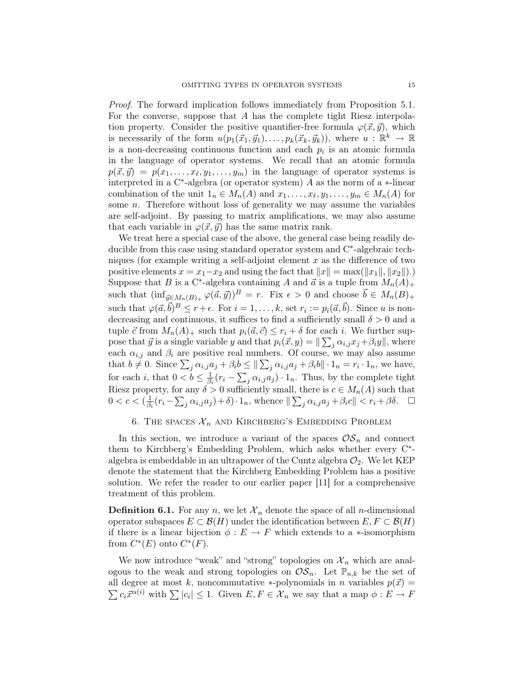Proof. The forward implication follows immediately from Proposition 5.1. For the converse, suppose that A has the complete tight Riesz interpolation property. Consider the positive quantifier-free formula  $\varphi(\vec{x}, \vec{y})$ , which is necessarily of the form  $u(p_1(\vec{x}_1, \vec{y}_1), \ldots, p_k(\vec{x}_k, \vec{y}_k))$ , where  $u : \mathbb{R}^k \to \mathbb{R}$ is a non-decreasing continuous function and each  $p_i$  is an atomic formula in the language of operator systems. We recall that an atomic formula  $p(\vec{x}, \vec{y}) = p(x_1, \dots, x_\ell, y_1, \dots, y_m)$  in the language of operator systems is interpreted in a  $C^*$ -algebra (or operator system) A as the norm of a  $*$ -linear combination of the unit  $1_n \in M_n(A)$  and  $x_1, \ldots, x_\ell, y_1, \ldots, y_m \in M_n(A)$  for some  $n$ . Therefore without loss of generality we may assume the variables are self-adjoint. By passing to matrix amplifications, we may also assume that each variable in  $\varphi(\vec{x}, \vec{y})$  has the same matrix rank.

We treat here a special case of the above, the general case being readily deducible from this case using standard operator system and C<sup>∗</sup>-algebraic techniques (for example writing a self-adjoint element  $x$  as the difference of two positive elements  $x = x_1 - x_2$  and using the fact that  $||x|| = \max(||x_1||, ||x_2||)$ . Suppose that B is a C<sup>\*</sup>-algebra containing A and  $\vec{a}$  is a tuple from  $M_n(A)_+$ such that  $(\inf_{\vec{y}\in M_n(B)_+} \varphi(\vec{a}, \vec{y}))^B = r$ . Fix  $\epsilon > 0$  and choose  $\vec{b} \in M_n(B)_+$ such that  $\varphi(\vec{a}, \vec{b})^B \le r + \epsilon$ . For  $i = 1, \ldots, k$ , set  $r_i := p_i(\vec{a}, \vec{b})$ . Since u is nondecreasing and continuous, it suffices to find a sufficiently small  $\delta > 0$  and a tuple  $\vec{c}$  from  $M_n(A)_+$  such that  $p_i(\vec{a}, \vec{c}) \leq r_i + \delta$  for each i. We further suppose that  $\vec{y}$  is a single variable y and that  $p_i(\vec{x}, y) = ||\sum_j \alpha_{i,j} x_j + \beta_i y||$ , where each  $\alpha_{i,j}$  and  $\beta_i$  are positive real numbers. Of course, we may also assume that  $b \neq 0$ . Since  $\sum_j \alpha_{i,j} a_j + \beta_i b \leq ||\sum_j \alpha_{i,j} a_j + \beta_i b|| \cdot 1_n = r_i \cdot 1_n$ , we have, for each i, that  $0 < b \leq \frac{1}{\beta}$  $\frac{1}{\beta_i}(r_i - \sum_j \alpha_{i,j} a_j) \cdot 1_n$ . Thus, by the complete tight Riesz property, for any  $\delta > 0$  sufficiently small, there is  $c \in M_n(A)$  such that  $0 < c < (\frac{1}{\beta})$  $\frac{1}{\beta_i}(r_i - \sum_j \alpha_{i,j}a_j) + \delta) \cdot 1_n$ , whence  $\|\sum_j \alpha_{i,j}a_j + \beta_i c\| < r_i + \beta \delta$ .  $\Box$ 

## 6. THE SPACES  $\mathcal{X}_n$  and Kirchberg's Embedding Problem

In this section, we introduce a variant of the spaces  $OS_n$  and connect them to Kirchberg's Embedding Problem, which asks whether every C<sup>∗</sup> algebra is embeddable in an ultrapower of the Cuntz algebra  $\mathcal{O}_2$ . We let KEP denote the statement that the Kirchberg Embedding Problem has a positive solution. We refer the reader to our earlier paper [11] for a comprehensive treatment of this problem.

**Definition 6.1.** For any n, we let  $\mathcal{X}_n$  denote the space of all n-dimensional operator subspaces  $E \subset \mathcal{B}(H)$  under the identification between  $E, F \subset \mathcal{B}(H)$ if there is a linear bijection  $\phi : E \to F$  which extends to a  $\ast$ -isomorphism from  $C^*(E)$  onto  $C^*(F)$ .

We now introduce "weak" and "strong" topologies on  $\mathcal{X}_n$  which are analogous to the weak and strong topologies on  $\mathcal{OS}_n$ . Let  $\mathbb{P}_{n,k}$  be the set of all degree at most k, noncommutative \*-polynomials in n variables  $p(\vec{x}) =$  $\sum c_i \vec{x}^{\alpha(i)}$  with  $\sum |c_i| \leq 1$ . Given  $E, F \in \mathcal{X}_n$  we say that a map  $\phi : E \to F$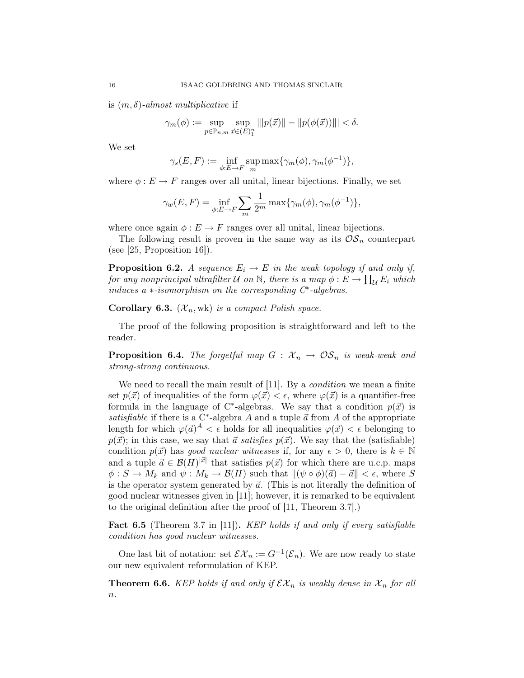is  $(m, \delta)$ -almost multiplicative if

$$
\gamma_m(\phi) := \sup_{p \in \mathbb{P}_{n,m}} \sup_{\vec{x} \in (E)_1^n} ||p(\vec{x})|| - ||p(\phi(\vec{x}))||| < \delta.
$$

We set

$$
\gamma_s(E, F) := \inf_{\phi: E \to F} \sup_m \max \{ \gamma_m(\phi), \gamma_m(\phi^{-1}) \},
$$

where  $\phi : E \to F$  ranges over all unital, linear bijections. Finally, we set

$$
\gamma_w(E, F) = \inf_{\phi: E \to F} \sum_m \frac{1}{2^m} \max\{\gamma_m(\phi), \gamma_m(\phi^{-1})\},\
$$

where once again  $\phi : E \to F$  ranges over all unital, linear bijections.

The following result is proven in the same way as its  $OS_n$  counterpart (see  $[25,$  Proposition 16]).

**Proposition 6.2.** A sequence  $E_i \rightarrow E$  in the weak topology if and only if, for any nonprincipal ultrafilter  $\mathcal U$  on  $\mathbb N,$  there is a map  $\phi: E \to \prod_\mathcal U E_i$  which induces  $a *-isomorphism$  on the corresponding  $C^*$ -algebras.

Corollary 6.3.  $(X_n, \text{wk})$  is a compact Polish space.

The proof of the following proposition is straightforward and left to the reader.

**Proposition 6.4.** The forgetful map  $G : \mathcal{X}_n \to \mathcal{OS}_n$  is weak-weak and strong-strong continuous.

We need to recall the main result of [11]. By a *condition* we mean a finite set  $p(\vec{x})$  of inequalities of the form  $\varphi(\vec{x}) < \epsilon$ , where  $\varphi(\vec{x})$  is a quantifier-free formula in the language of C<sup>\*</sup>-algebras. We say that a condition  $p(\vec{x})$  is satisfiable if there is a C<sup>\*</sup>-algebra A and a tuple  $\vec{a}$  from A of the appropriate length for which  $\varphi(\vec{a})^A < \epsilon$  holds for all inequalities  $\varphi(\vec{x}) < \epsilon$  belonging to  $p(\vec{x})$ ; in this case, we say that  $\vec{a}$  satisfies  $p(\vec{x})$ . We say that the (satisfiable) condition  $p(\vec{x})$  has good nuclear witnesses if, for any  $\epsilon > 0$ , there is  $k \in \mathbb{N}$ and a tuple  $\vec{a} \in \mathcal{B}(H)^{|\vec{x}|}$  that satisfies  $p(\vec{x})$  for which there are u.c.p. maps  $\phi: S \to M_k$  and  $\psi: M_k \to \mathcal{B}(H)$  such that  $\|(\psi \circ \phi)(\vec{a}) - \vec{a}\| < \epsilon$ , where S is the operator system generated by  $\vec{a}$ . (This is not literally the definition of good nuclear witnesses given in [11]; however, it is remarked to be equivalent to the original definition after the proof of [11, Theorem 3.7].)

**Fact 6.5** (Theorem 3.7 in [11]). KEP holds if and only if every satisfiable condition has good nuclear witnesses.

One last bit of notation: set  $\mathcal{EX}_n := G^{-1}(\mathcal{E}_n)$ . We are now ready to state our new equivalent reformulation of KEP.

**Theorem 6.6.** KEP holds if and only if  $\mathcal{EX}_n$  is weakly dense in  $\mathcal{X}_n$  for all  $\overline{n}$ .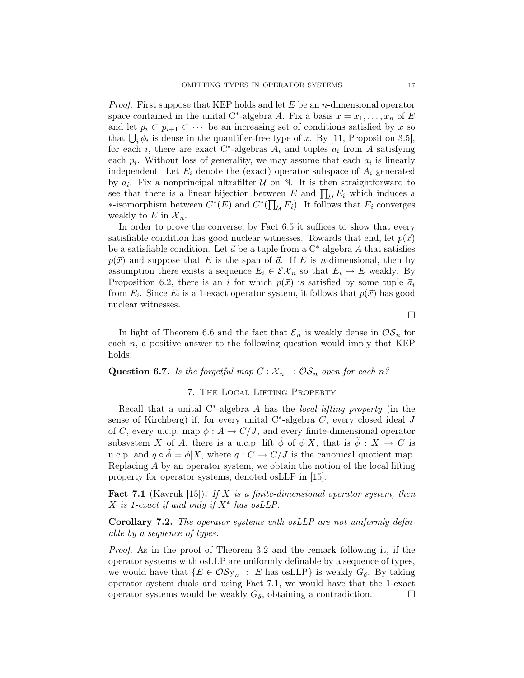*Proof.* First suppose that KEP holds and let  $E$  be an *n*-dimensional operator space contained in the unital C<sup>\*</sup>-algebra A. Fix a basis  $x = x_1, \ldots, x_n$  of E and let  $p_i \,\subset p_{i+1} \subset \cdots$  be an increasing set of conditions satisfied by x so that  $\bigcup_i \phi_i$  is dense in the quantifier-free type of x. By [11, Proposition 3.5], for each *i*, there are exact C<sup>\*</sup>-algebras  $A_i$  and tuples  $a_i$  from A satisfying each  $p_i$ . Without loss of generality, we may assume that each  $a_i$  is linearly independent. Let  $E_i$  denote the (exact) operator subspace of  $A_i$  generated by  $a_i$ . Fix a nonprincipal ultrafilter  $\mathcal U$  on  $\mathbb N$ . It is then straightforward to see that there is a linear bijection between E and  $\prod_{\mathcal{U}} E_i$  which induces a ∗-isomorphism between  $C^*(E)$  and  $C^*(\prod_{\mathcal{U}} E_i)$ . It follows that  $E_i$  converges weakly to E in  $\mathcal{X}_n$ .

In order to prove the converse, by Fact 6.5 it suffices to show that every satisfiable condition has good nuclear witnesses. Towards that end, let  $p(\vec{x})$ be a satisfiable condition. Let  $\vec{a}$  be a tuple from a C<sup>\*</sup>-algebra A that satisfies  $p(\vec{x})$  and suppose that E is the span of  $\vec{a}$ . If E is n-dimensional, then by assumption there exists a sequence  $E_i \in \mathcal{EX}_n$  so that  $E_i \to E$  weakly. By Proposition 6.2, there is an i for which  $p(\vec{x})$  is satisfied by some tuple  $\vec{a}_i$ from  $E_i$ . Since  $E_i$  is a 1-exact operator system, it follows that  $p(\vec{x})$  has good nuclear witnesses.

 $\Box$ 

In light of Theorem 6.6 and the fact that  $\mathcal{E}_n$  is weakly dense in  $\mathcal{OS}_n$  for each  $n$ , a positive answer to the following question would imply that KEP holds:

## **Question 6.7.** Is the forgetful map  $G: \mathcal{X}_n \to \mathcal{OS}_n$  open for each n?

### 7. The Local Lifting Property

Recall that a unital  $C^*$ -algebra A has the *local lifting property* (in the sense of Kirchberg) if, for every unital  $C^*$ -algebra  $C$ , every closed ideal  $J$ of C, every u.c.p. map  $\phi: A \to C/J$ , and every finite-dimensional operator subsystem X of A, there is a u.c.p. lift  $\tilde{\phi}$  of  $\phi|X$ , that is  $\tilde{\phi}: X \to C$  is u.c.p. and  $q \circ \phi = \phi | X$ , where  $q : C \to C/J$  is the canonical quotient map. Replacing A by an operator system, we obtain the notion of the local lifting property for operator systems, denoted osLLP in [15].

**Fact 7.1** (Kavruk [15]). If X is a finite-dimensional operator system, then  $X$  is 1-exact if and only if  $X^*$  has osLLP.

Corollary 7.2. The operator systems with osLLP are not uniformly definable by a sequence of types.

Proof. As in the proof of Theorem 3.2 and the remark following it, if the operator systems with osLLP are uniformly definable by a sequence of types, we would have that  $\{E \in \mathcal{OSy}_n : E$  has osLLP} is weakly  $G_{\delta}$ . By taking operator system duals and using Fact 7.1, we would have that the 1-exact operator systems would be weakly  $G_{\delta}$ , obtaining a contradiction.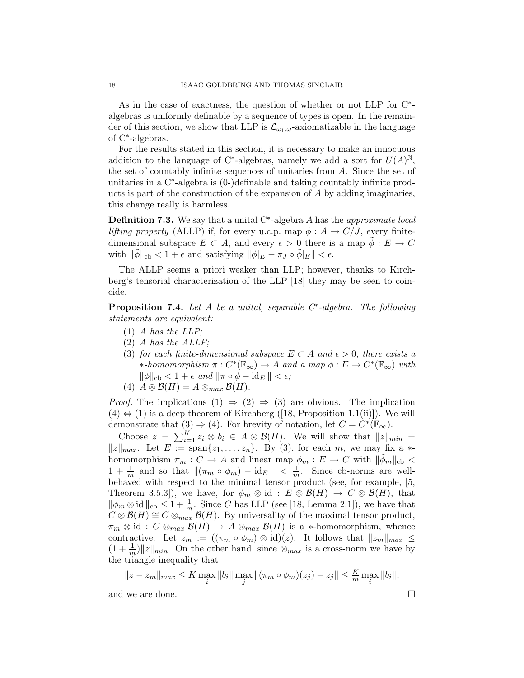As in the case of exactness, the question of whether or not LLP for C<sup>\*</sup>algebras is uniformly definable by a sequence of types is open. In the remainder of this section, we show that LLP is  $\mathcal{L}_{\omega_1,\omega}$ -axiomatizable in the language of C<sup>∗</sup> -algebras.

For the results stated in this section, it is necessary to make an innocuous addition to the language of C<sup>\*</sup>-algebras, namely we add a sort for  $U(A)^{\mathbb{N}},$ the set of countably infinite sequences of unitaries from A. Since the set of unitaries in a C<sup>\*</sup>-algebra is (0-)definable and taking countably infinite products is part of the construction of the expansion of A by adding imaginaries, this change really is harmless.

**Definition 7.3.** We say that a unital  $C^*$ -algebra A has the *approximate local* lifting property (ALLP) if, for every u.c.p. map  $\phi: A \to C/J$ , every finitedimensional subspace  $E \subset A$ , and every  $\epsilon > 0$  there is a map  $\phi : E \to C$ with  $\|\tilde{\phi}\|_{cb} < 1 + \epsilon$  and satisfying  $\|\phi\|_{E} - \pi_{J} \circ \tilde{\phi}\|_{E}\| < \epsilon$ .

The ALLP seems a priori weaker than LLP; however, thanks to Kirchberg's tensorial characterization of the LLP [18] they may be seen to coincide.

**Proposition 7.4.** Let  $A$  be a unital, separable  $C^*$ -algebra. The following statements are equivalent:

- (1) A has the LLP;
- (2) A has the ALLP;
- (3) for each finite-dimensional subspace  $E \subset A$  and  $\epsilon > 0$ , there exists a \*-homomorphism  $\pi: C^*(\mathbb{F}_{\infty}) \to A$  and a map  $\phi: E \to C^*(\mathbb{F}_{\infty})$  with  $\|\phi\|_{\text{cb}} < 1 + \epsilon \text{ and } \|\pi \circ \phi - \text{id}_E\| < \epsilon;$
- (4)  $A \otimes \mathcal{B}(H) = A \otimes_{max} \mathcal{B}(H)$ .

*Proof.* The implications  $(1) \Rightarrow (2) \Rightarrow (3)$  are obvious. The implication  $(4) \Leftrightarrow (1)$  is a deep theorem of Kirchberg ([18, Proposition 1.1(ii)]). We will demonstrate that  $(3) \Rightarrow (4)$ . For brevity of notation, let  $C = C^*(\mathbb{F}_{\infty})$ .

Choose  $z = \sum_{i=1}^{K} z_i \otimes b_i \in A \odot \mathcal{B}(H)$ . We will show that  $||z||_{min} =$  $||z||_{max}$ . Let  $E := \text{span}\{z_1, \ldots, z_n\}$ . By (3), for each m, we may fix a  $*$ homomorphism  $\pi_m : C \to A$  and linear map  $\phi_m : E \to C$  with  $\|\tilde{\phi}_m\|_{cb} <$  $1 + \frac{1}{m}$  and so that  $\|(\pi_m \circ \phi_m) - \mathrm{id}_E \| < \frac{1}{m}$  $\frac{1}{m}$ . Since cb-norms are wellbehaved with respect to the minimal tensor product (see, for example, [5, Theorem 3.5.3]), we have, for  $\phi_m \otimes id : E \otimes \mathcal{B}(H) \to C \otimes \mathcal{B}(H)$ , that  $\|\phi_m \otimes \text{id}\,\|_{\text{cb}} \leq 1 + \frac{1}{m}$ . Since C has LLP (see [18, Lemma 2.1]), we have that  $C \otimes \mathcal{B}(H) \cong C \otimes_{max} \mathcal{B}(H)$ . By universality of the maximal tensor product,  $\pi_m \otimes id : C \otimes_{max} \mathcal{B}(H) \to A \otimes_{max} \mathcal{B}(H)$  is a \*-homomorphism, whence contractive. Let  $z_m := ((\pi_m \circ \phi_m) \otimes id)(z)$ . It follows that  $||z_m||_{max} \le$  $(1 + \frac{1}{m})||z||_{min}$ . On the other hand, since  $\otimes_{max}$  is a cross-norm we have by the triangle inequality that

$$
||z - z_m||_{max} \le K \max_i ||b_i|| \max_j ||(\pi_m \circ \phi_m)(z_j) - z_j|| \le \frac{K}{m} \max_i ||b_i||,
$$

and we are done.  $\Box$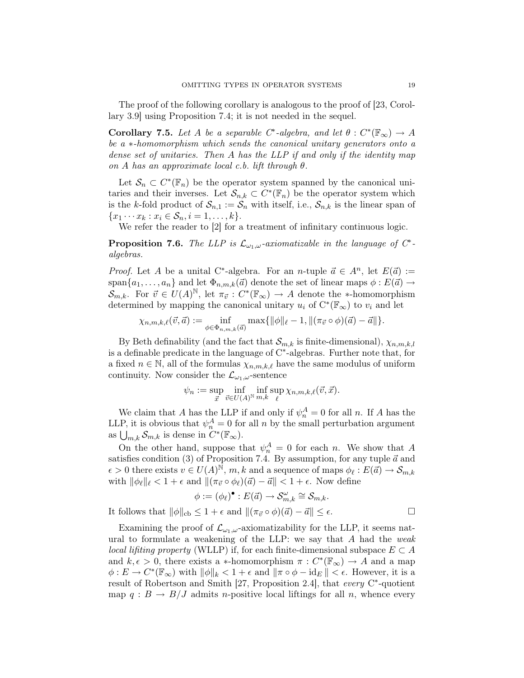The proof of the following corollary is analogous to the proof of [23, Corollary 3.9] using Proposition 7.4; it is not needed in the sequel.

Corollary 7.5. Let A be a separable  $C^*$ -algebra, and let  $\theta: C^*(\mathbb{F}_{\infty}) \to A$ be a ∗-homomorphism which sends the canonical unitary generators onto a dense set of unitaries. Then A has the LLP if and only if the identity map on A has an approximate local c.b. lift through  $\theta$ .

Let  $\mathcal{S}_n \subset C^*(\mathbb{F}_n)$  be the operator system spanned by the canonical unitaries and their inverses. Let  $\mathcal{S}_{n,k} \subset C^*(\mathbb{F}_n)$  be the operator system which is the k-fold product of  $S_{n,1} := S_n$  with itself, i.e.,  $S_{n,k}$  is the linear span of  ${x_1 \cdots x_k : x_i \in S_n, i = 1, \ldots, k}.$ 

We refer the reader to [2] for a treatment of infinitary continuous logic.

**Proposition 7.6.** The LLP is  $\mathcal{L}_{\omega_1,\omega}$ -axiomatizable in the language of  $C^*$ algebras.

*Proof.* Let A be a unital C<sup>\*</sup>-algebra. For an n-tuple  $\vec{a} \in A^n$ , let  $E(\vec{a}) :=$ span $\{a_1, \ldots, a_n\}$  and let  $\Phi_{n,m,k}(\vec{a})$  denote the set of linear maps  $\phi : E(\vec{a}) \rightarrow$  $\mathcal{S}_{m,k}$ . For  $\vec{v} \in U(A)^{\mathbb{N}}$ , let  $\pi_{\vec{v}} : C^*(\mathbb{F}_{\infty}) \to A$  denote the \*-homomorphism determined by mapping the canonical unitary  $u_i$  of  $C^*(\mathbb{F}_{\infty})$  to  $v_i$  and let

$$
\chi_{n,m,k,\ell}(\vec{v},\vec{a}) := \inf_{\phi \in \Phi_{n,m,k}(\vec{a})} \max\{ \|\phi\|_{\ell} - 1, \|(\pi_{\vec{v}} \circ \phi)(\vec{a}) - \vec{a}\| \}.
$$

By Beth definability (and the fact that  $\mathcal{S}_{m,k}$  is finite-dimensional),  $\chi_{n,m,k,l}$ is a definable predicate in the language of C<sup>∗</sup> -algebras. Further note that, for a fixed  $n \in \mathbb{N}$ , all of the formulas  $\chi_{n,m,k,\ell}$  have the same modulus of uniform continuity. Now consider the  $\mathcal{L}_{\omega_1,\omega}$ -sentence

$$
\psi_n := \sup_{\vec{x}} \inf_{\vec{v} \in U(A)^{\mathbb{N}}} \inf_{m,k} \sup_{\ell} \chi_{n,m,k,\ell}(\vec{v}, \vec{x}).
$$

We claim that A has the LLP if and only if  $\psi_n^A = 0$  for all n. If A has the LLP, it is obvious that  $\psi_n^A = 0$  for all n by the small perturbation argument as  $\bigcup_{m,k} \mathcal{S}_{m,k}$  is dense in  $C^*(\mathbb{F}_{\infty})$ .

On the other hand, suppose that  $\psi_n^A = 0$  for each n. We show that A satisfies condition (3) of Proposition 7.4. By assumption, for any tuple  $\vec{a}$  and  $\epsilon > 0$  there exists  $v \in U(A)^{\tilde{N}}$ , m, k and a sequence of maps  $\phi_{\ell}: E(\vec{a}) \to \mathcal{S}_{m,k}$ with  $\|\phi_{\ell}\|_{\ell} < 1 + \epsilon$  and  $\|\pi_{\vec{v}} \circ \phi_{\ell}(\vec{a}) - \vec{a}\| < 1 + \epsilon$ . Now define

$$
\phi := (\phi_{\ell})^{\bullet} : E(\vec{a}) \to \mathcal{S}_{m,k}^{\omega} \cong \mathcal{S}_{m,k}.
$$
  
It follows that  $\|\phi\|_{\text{cb}} \le 1 + \epsilon$  and  $\|(\pi_{\vec{v}} \circ \phi)(\vec{a}) - \vec{a}\| \le \epsilon$ .

Examining the proof of  $\mathcal{L}_{\omega_1,\omega}$ -axiomatizability for the LLP, it seems natural to formulate a weakening of the LLP: we say that  $A$  had the weak local lifting property (WLLP) if, for each finite-dimensional subspace  $E \subset A$ and  $k, \epsilon > 0$ , there exists a \*-homomorphism  $\pi : C^*(\mathbb{F}_{\infty}) \to A$  and a map  $\phi: E \to C^*(\mathbb{F}_{\infty})$  with  $\|\phi\|_k < 1 + \epsilon$  and  $\|\pi \circ \phi - \mathrm{id}_E\| < \epsilon$ . However, it is a result of Robertson and Smith [27, Proposition 2.4], that every C<sup>∗</sup>-quotient map  $q : B \to B/J$  admits *n*-positive local liftings for all *n*, whence every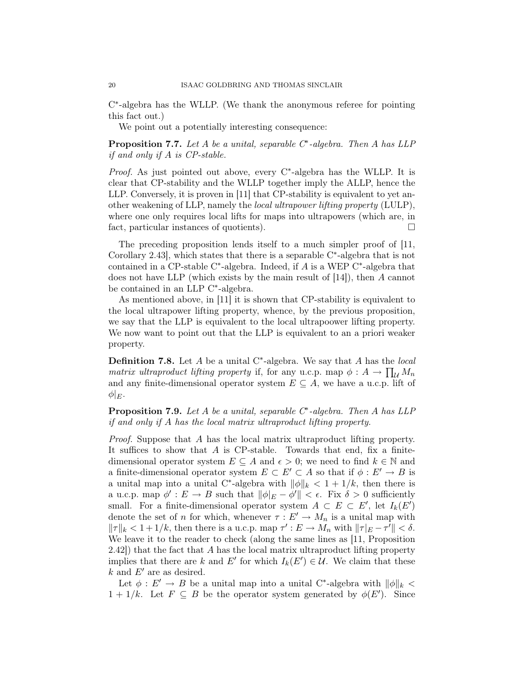C ∗ -algebra has the WLLP. (We thank the anonymous referee for pointing this fact out.)

We point out a potentially interesting consequence:

**Proposition 7.7.** Let  $A$  be a unital, separable  $C^*$ -algebra. Then  $A$  has LLP if and only if A is CP-stable.

Proof. As just pointed out above, every C<sup>∗</sup>-algebra has the WLLP. It is clear that CP-stability and the WLLP together imply the ALLP, hence the LLP. Conversely, it is proven in [11] that CP-stability is equivalent to yet another weakening of LLP, namely the local ultrapower lifting property (LULP), where one only requires local lifts for maps into ultrapowers (which are, in fact, particular instances of quotients).

The preceding proposition lends itself to a much simpler proof of [11, Corollary 2.43], which states that there is a separable C<sup>∗</sup> -algebra that is not contained in a CP-stable C<sup>∗</sup>-algebra. Indeed, if  $A$  is a WEP C<sup>∗</sup>-algebra that does not have LLP (which exists by the main result of [14]), then A cannot be contained in an LLP C<sup>∗</sup> -algebra.

As mentioned above, in [11] it is shown that CP-stability is equivalent to the local ultrapower lifting property, whence, by the previous proposition, we say that the LLP is equivalent to the local ultrapoower lifting property. We now want to point out that the LLP is equivalent to an a priori weaker property.

**Definition 7.8.** Let  $A$  be a unital C<sup>\*</sup>-algebra. We say that  $A$  has the *local* matrix ultraproduct lifting property if, for any u.c.p. map  $\phi: A \to \prod_{\mathcal{U}} M_n$ and any finite-dimensional operator system  $E \subseteq A$ , we have a u.c.p. lift of  $\phi|_{E}$ .

**Proposition 7.9.** Let  $A$  be a unital, separable  $C^*$ -algebra. Then  $A$  has LLP if and only if A has the local matrix ultraproduct lifting property.

Proof. Suppose that A has the local matrix ultraproduct lifting property. It suffices to show that  $A$  is CP-stable. Towards that end, fix a finitedimensional operator system  $E \subseteq A$  and  $\epsilon > 0$ ; we need to find  $k \in \mathbb{N}$  and a finite-dimensional operator system  $E \subset E' \subset A$  so that if  $\phi : E' \to B$  is a unital map into a unital C<sup>\*</sup>-algebra with  $\|\phi\|_k < 1 + 1/k$ , then there is a u.c.p. map  $\phi': E \to B$  such that  $\|\phi|_E - \phi'\| < \epsilon$ . Fix  $\delta > 0$  sufficiently small. For a finite-dimensional operator system  $A \subset E \subset E'$ , let  $I_k(E')$ denote the set of n for which, whenever  $\tau : E' \to M_n$  is a unital map with  $||\tau||_k < 1 + 1/k$ , then there is a u.c.p. map  $\tau' : E \to M_n$  with  $||\tau|_E - \tau'|| < \delta$ . We leave it to the reader to check (along the same lines as [11, Proposition  $2.42$ ) that the fact that A has the local matrix ultraproduct lifting property implies that there are k and E' for which  $I_k(E') \in \mathcal{U}$ . We claim that these  $k$  and  $E'$  are as desired.

Let  $\phi: E' \to B$  be a unital map into a unital C<sup>\*</sup>-algebra with  $\|\phi\|_k$  <  $1 + 1/k$ . Let  $F \subseteq B$  be the operator system generated by  $\phi(E')$ . Since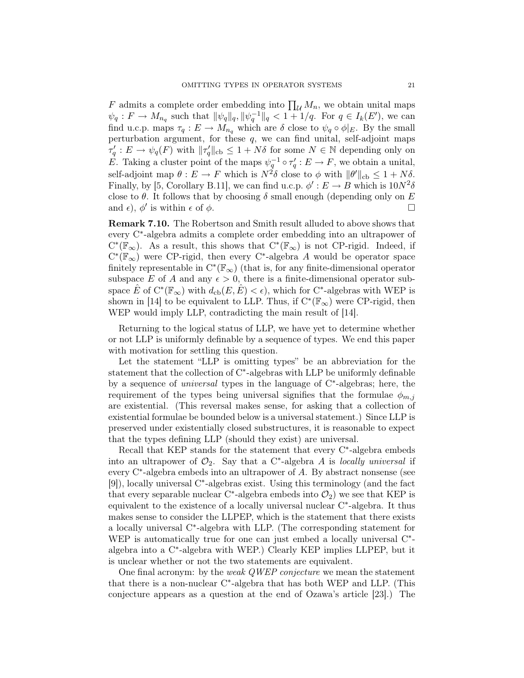F admits a complete order embedding into  $\prod_{\mathcal{U}} M_n$ , we obtain unital maps  $\psi_q: F \to M_{n_q}$  such that  $\|\psi_q\|_q, \|\psi_q^{-1}\|_q < 1+1/q$ . For  $q \in I_k(E')$ , we can find u.c.p. maps  $\tau_q: E \to M_{n_q}$  which are  $\delta$  close to  $\psi_q \circ \phi|_E$ . By the small perturbation argument, for these  $q$ , we can find unital, self-adjoint maps  $\tau'_q: E \to \psi_q(F)$  with  $||\tau'_q||_{cb} \leq 1 + N\delta$  for some  $N \in \mathbb{N}$  depending only on E. Taking a cluster point of the maps  $\psi_q^{-1} \circ \tau'_q : E \to F$ , we obtain a unital, self-adjoint map  $\theta: E \to F$  which is  $N^2 \delta$  close to  $\phi$  with  $\|\theta'\|_{\text{cb}} \leq 1 + N\delta$ . Finally, by [5, Corollary B.11], we can find u.c.p.  $\phi' : E \to B$  which is  $10N^2\delta$ close to  $\theta$ . It follows that by choosing  $\delta$  small enough (depending only on E and  $\epsilon$ ),  $\phi'$  is within  $\epsilon$  of  $\phi$ .

Remark 7.10. The Robertson and Smith result alluded to above shows that every C<sup>∗</sup> -algebra admits a complete order embedding into an ultrapower of  $C^*(\mathbb{F}_{\infty})$ . As a result, this shows that  $C^*(\mathbb{F}_{\infty})$  is not CP-rigid. Indeed, if  $C^*(\mathbb{F}_{\infty})$  were CP-rigid, then every C<sup>\*</sup>-algebra A would be operator space finitely representable in  $C^*(\mathbb{F}_{\infty})$  (that is, for any finite-dimensional operator subspace E of A and any  $\epsilon > 0$ , there is a finite-dimensional operator subspace  $\hat{E}$  of  $C^*(\mathbb{F}_{\infty})$  with  $d_{\text{cb}}(E,\hat{E}) < \epsilon$ , which for  $C^*$ -algebras with WEP is shown in [14] to be equivalent to LLP. Thus, if  $C^*(\mathbb{F}_{\infty})$  were CP-rigid, then WEP would imply LLP, contradicting the main result of [14].

Returning to the logical status of LLP, we have yet to determine whether or not LLP is uniformly definable by a sequence of types. We end this paper with motivation for settling this question.

Let the statement "LLP is omitting types" be an abbreviation for the statement that the collection of C<sup>∗</sup>-algebras with LLP be uniformly definable by a sequence of universal types in the language of C<sup>∗</sup> -algebras; here, the requirement of the types being universal signifies that the formulae  $\phi_{m,j}$ are existential. (This reversal makes sense, for asking that a collection of existential formulae be bounded below is a universal statement.) Since LLP is preserved under existentially closed substructures, it is reasonable to expect that the types defining LLP (should they exist) are universal.

Recall that KEP stands for the statement that every C<sup>∗</sup>-algebra embeds into an ultrapower of  $\mathcal{O}_2$ . Say that a C<sup>\*</sup>-algebra A is locally universal if every C<sup>∗</sup> -algebra embeds into an ultrapower of A. By abstract nonsense (see [9]), locally universal C<sup>∗</sup>-algebras exist. Using this terminology (and the fact that every separable nuclear C<sup>\*</sup>-algebra embeds into  $\mathcal{O}_2$ ) we see that KEP is equivalent to the existence of a locally universal nuclear C<sup>∗</sup> -algebra. It thus makes sense to consider the LLPEP, which is the statement that there exists a locally universal C<sup>∗</sup> -algebra with LLP. (The corresponding statement for WEP is automatically true for one can just embed a locally universal C<sup>\*</sup>algebra into a C<sup>∗</sup> -algebra with WEP.) Clearly KEP implies LLPEP, but it is unclear whether or not the two statements are equivalent.

One final acronym: by the *weak QWEP conjecture* we mean the statement that there is a non-nuclear C<sup>∗</sup> -algebra that has both WEP and LLP. (This conjecture appears as a question at the end of Ozawa's article [23].) The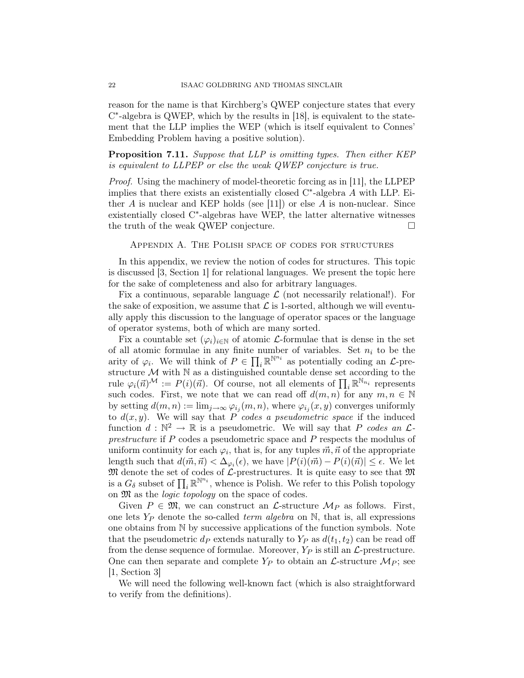reason for the name is that Kirchberg's QWEP conjecture states that every C ∗ -algebra is QWEP, which by the results in [18], is equivalent to the statement that the LLP implies the WEP (which is itself equivalent to Connes' Embedding Problem having a positive solution).

Proposition 7.11. Suppose that LLP is omitting types. Then either KEP is equivalent to LLPEP or else the weak QWEP conjecture is true.

Proof. Using the machinery of model-theoretic forcing as in [11], the LLPEP implies that there exists an existentially closed  $C^*$ -algebra  $\ddot{A}$  with LLP. Either A is nuclear and KEP holds (see [11]) or else A is non-nuclear. Since existentially closed C<sup>∗</sup> -algebras have WEP, the latter alternative witnesses the truth of the weak QWEP conjecture.

Appendix A. The Polish space of codes for structures

In this appendix, we review the notion of codes for structures. This topic is discussed [3, Section 1] for relational languages. We present the topic here for the sake of completeness and also for arbitrary languages.

Fix a continuous, separable language  $\mathcal L$  (not necessarily relational!). For the sake of exposition, we assume that  $\mathcal L$  is 1-sorted, although we will eventually apply this discussion to the language of operator spaces or the language of operator systems, both of which are many sorted.

Fix a countable set  $(\varphi_i)_{i\in\mathbb{N}}$  of atomic *L*-formulae that is dense in the set of all atomic formulae in any finite number of variables. Set  $n_i$  to be the arity of  $\varphi_i$ . We will think of  $P \in \prod_i \mathbb{R}^{N^{n_i}}$  as potentially coding an  $\mathcal{L}$ -prestructure  $M$  with  $N$  as a distinguished countable dense set according to the rule  $\varphi_i(\vec{n})^{\mathcal{M}} := P(i)(\vec{n})$ . Of course, not all elements of  $\prod_i \mathbb{R}^{N_{n_i}}$  represents such codes. First, we note that we can read off  $d(m, n)$  for any  $m, n \in \mathbb{N}$ by setting  $d(m, n) := \lim_{j \to \infty} \varphi_{i_j}(m, n)$ , where  $\varphi_{i_j}(x, y)$  converges uniformly to  $d(x, y)$ . We will say that P codes a pseudometric space if the induced function  $d : \mathbb{N}^2 \to \mathbb{R}$  is a pseudometric. We will say that P codes an  $\mathcal{L}$ prestructure if P codes a pseudometric space and P respects the modulus of uniform continuity for each  $\varphi_i$ , that is, for any tuples  $\vec{m}, \vec{n}$  of the appropriate length such that  $d(\vec{m}, \vec{n}) < \Delta_{\varphi_i}(\epsilon)$ , we have  $|P(i)(\vec{m}) - P(i)(\vec{n})| \le \epsilon$ . We let  ${\mathfrak M}$  denote the set of codes of  ${\mathcal L}$ -prestructures. It is quite easy to see that  ${\mathfrak M}$ is a  $G_{\delta}$  subset of  $\prod_i \mathbb{R}^{\mathbb{N}^{n_i}}$ , whence is Polish. We refer to this Polish topology on M as the logic topology on the space of codes.

Given  $P \in \mathfrak{M}$ , we can construct an  $\mathcal{L}$ -structure  $\mathcal{M}_P$  as follows. First, one lets  $Y_P$  denote the so-called *term algebra* on  $\mathbb{N}$ , that is, all expressions one obtains from N by successive applications of the function symbols. Note that the pseudometric  $d_P$  extends naturally to  $Y_P$  as  $d(t_1, t_2)$  can be read off from the dense sequence of formulae. Moreover,  $Y_P$  is still an  $\mathcal{L}$ -prestructure. One can then separate and complete  $Y_P$  to obtain an  $\mathcal{L}\text{-structure }\mathcal{M}_P$ ; see [1, Section 3]

We will need the following well-known fact (which is also straightforward to verify from the definitions).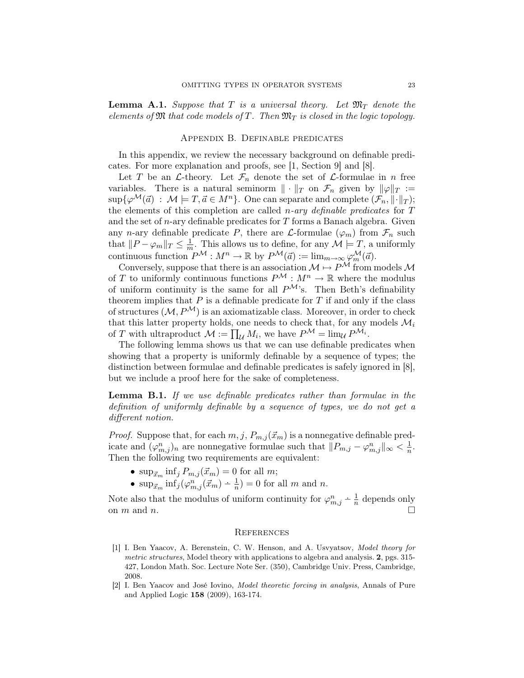**Lemma A.1.** Suppose that T is a universal theory. Let  $\mathfrak{M}_T$  denote the elements of  $\mathfrak M$  that code models of  $T$ . Then  $\mathfrak M_T$  is closed in the logic topology.

#### Appendix B. Definable predicates

In this appendix, we review the necessary background on definable predicates. For more explanation and proofs, see [1, Section 9] and [8].

Let T be an  $\mathcal{L}\text{-theory}$ . Let  $\mathcal{F}_n$  denote the set of  $\mathcal{L}\text{-formulae}$  in n free variables. There is a natural seminorm  $\|\cdot\|_T$  on  $\mathcal{F}_n$  given by  $\|\varphi\|_T :=$  $\sup\{\varphi^{\mathcal{M}}(\vec{a}) : \mathcal{M} \models T, \vec{a} \in M^{n}\}\.$  One can separate and complete  $(\mathcal{F}_n, \|\cdot\|_T);$ the elements of this completion are called *n*-ary definable predicates for  $T$ and the set of *n*-ary definable predicates for  $T$  forms a Banach algebra. Given any n-ary definable predicate P, there are L-formulae  $(\varphi_m)$  from  $\mathcal{F}_n$  such that  $||P - \varphi_m||_T \leq \frac{1}{m}$  $\frac{1}{m}$ . This allows us to define, for any  $\mathcal{M} \models T$ , a uniformly continuous function  $P^{\mathcal{M}} : M^n \to \mathbb{R}$  by  $P^{\mathcal{M}}(\vec{a}) := \lim_{m \to \infty} \varphi_m^{\mathcal{M}}(\vec{a})$ .

Conversely, suppose that there is an association  $\mathcal{M} \mapsto P^{\mathcal{M}}$  from models  $\mathcal{M}$ of T to uniformly continuous functions  $P^{\mathcal{M}} : M^n \to \mathbb{R}$  where the modulus of uniform continuity is the same for all  $P^{\mathcal{M}}$ 's. Then Beth's definability theorem implies that  $P$  is a definable predicate for  $T$  if and only if the class of structures  $(M, P^{\mathcal{M}})$  is an axiomatizable class. Moreover, in order to check that this latter property holds, one needs to check that, for any models  $\mathcal{M}_i$ of T with ultraproduct  $\mathcal{M} := \prod_{\mathcal{U}} M_i$ , we have  $P^{\mathcal{M}} = \lim_{\mathcal{U}} P^{\mathcal{M}_i}$ .

The following lemma shows us that we can use definable predicates when showing that a property is uniformly definable by a sequence of types; the distinction between formulae and definable predicates is safely ignored in [8], but we include a proof here for the sake of completeness.

**Lemma B.1.** If we use definable predicates rather than formulae in the definition of uniformly definable by a sequence of types, we do not get a different notion.

*Proof.* Suppose that, for each  $m, j, P_{m,j}(\vec{x}_m)$  is a nonnegative definable predicate and  $(\varphi_{m,j}^n)_n$  are nonnegative formulae such that  $||P_{m,j} - \varphi_{m,j}^n||_{\infty} < \frac{1}{n}$  $\frac{1}{n}$ . Then the following two requirements are equivalent:

- $\sup_{\vec{x}_m} \inf_j P_{m,j}(\vec{x}_m) = 0$  for all m;
- $\sup_{\vec{x}_m} \inf_j (\varphi_{m,j}^n(\vec{x}_m) \frac{1}{n}) = 0$  for all m and n.

Note also that the modulus of uniform continuity for  $\varphi_{m,j}^n \doteq \frac{1}{n}$  depends only on  $m$  and  $n$ .

#### **REFERENCES**

- [1] I. Ben Yaacov, A. Berenstein, C. W. Henson, and A. Usvyatsov, Model theory for metric structures, Model theory with applications to algebra and analysis. 2, pgs. 315-427, London Math. Soc. Lecture Note Ser. (350), Cambridge Univ. Press, Cambridge, 2008.
- [2] I. Ben Yaacov and José Iovino, Model theoretic forcing in analysis, Annals of Pure and Applied Logic 158 (2009), 163-174.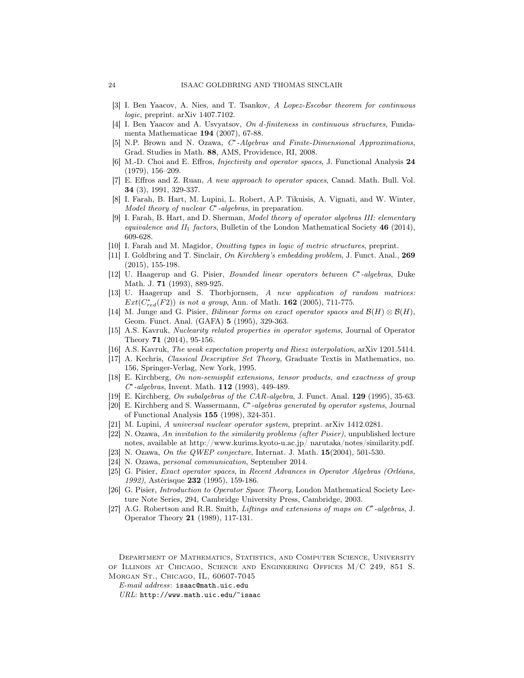- [3] I. Ben Yaacov, A. Nies, and T. Tsankov, A Lopez-Escobar theorem for continuous logic, preprint. arXiv 1407.7102.
- [4] I. Ben Yaacov and A. Usvyatsov, On d-finiteness in continuous structures, Fundamenta Mathematicae 194 (2007), 67-88.
- [5] N.P. Brown and N. Ozawa, C\*-Algebras and Finite-Dimensional Approximations, Grad. Studies in Math. 88, AMS, Providence, RI, 2008.
- [6] M.-D. Choi and E. Effros, Injectivity and operator spaces, J. Functional Analysis 24 (1979), 156–209.
- [7] E. Effros and Z. Ruan, A new approach to operator spaces, Canad. Math. Bull. Vol. 34 (3), 1991, 329-337.
- [8] I. Farah, B. Hart, M. Lupini, L. Robert, A.P. Tikuisis, A. Vignati, and W. Winter, Model theory of nuclear  $C^*$ -algebras, in preparation.
- [9] I. Farah, B. Hart, and D. Sherman, Model theory of operator algebras III: elementary equivalence and  $II_1$  factors, Bulletin of the London Mathematical Society 46 (2014), 609-628.
- [10] I. Farah and M. Magidor, Omitting types in logic of metric structures, preprint.
- [11] I. Goldbring and T. Sinclair, On Kirchberg's embedding problem, J. Funct. Anal., 269 (2015), 155-198.
- [12] U. Haagerup and G. Pisier, Bounded linear operators between C<sup>∗</sup>-algebras, Duke Math. J. **71** (1993), 889-925.
- [13] U. Haagerup and S. Thorbjornsen, A new application of random matrices:  $Ext(C_{red}^*(F2))$  is not a group, Ann. of Math. 162 (2005), 711-775.
- [14] M. Junge and G. Pisier, Bilinear forms on exact operator spaces and  $\mathcal{B}(H) \otimes \mathcal{B}(H)$ , Geom. Funct. Anal. (GAFA) 5 (1995), 329-363.
- [15] A.S. Kavruk, Nuclearity related properties in operator systems, Journal of Operator Theory 71 (2014), 95-156.
- [16] A.S. Kavruk, The weak expectation property and Riesz interpolation, arXiv 1201.5414.
- [17] A. Kechris, Classical Descriptive Set Theory, Graduate Textis in Mathematics, no. 156, Springer-Verlag, New York, 1995.
- [18] E. Kirchberg, On non-semisplit extensions, tensor products, and exactness of group C ∗ -algebras, Invent. Math. 112 (1993), 449-489.
- [19] E. Kirchberg, On subalgebras of the CAR-algebra, J. Funct. Anal. 129 (1995), 35-63.
- [20] E. Kirchberg and S. Wassermann,  $C^*$ -algebras generated by operator systems, Journal of Functional Analysis 155 (1998), 324-351.
- [21] M. Lupini, A universal nuclear operator system, preprint. arXiv 1412.0281.
- [22] N. Ozawa, An invitation to the similarity problems (after Pisier), unpublished lecture notes, available at http://www.kurims.kyoto-u.ac.jp/ narutaka/notes/similarity.pdf.
- [23] N. Ozawa, On the QWEP conjecture, Internat. J. Math.  $15(2004)$ , 501-530.
- [24] N. Ozawa, personal communication, September 2014.
- [25] G. Pisier, Exact operator spaces, in Recent Advances in Operator Algebras (Orléans, 1992), Astérisque 232 (1995), 159-186.
- [26] G. Pisier, Introduction to Operator Space Theory, London Mathematical Society Lecture Note Series, 294, Cambridge University Press, Cambridge, 2003.
- [27] A.G. Robertson and R.R. Smith, Liftings and extensions of maps on C<sup>∗</sup>-algebras, J. Operator Theory 21 (1989), 117-131.

Department of Mathematics, Statistics, and Computer Science, University of Illinois at Chicago, Science and Engineering Offices M/C 249, 851 S. Morgan St., Chicago, IL, 60607-7045

E-mail address: isaac@math.uic.edu

 $URL: \text{http://www.math.uic.edu/~isaac}$